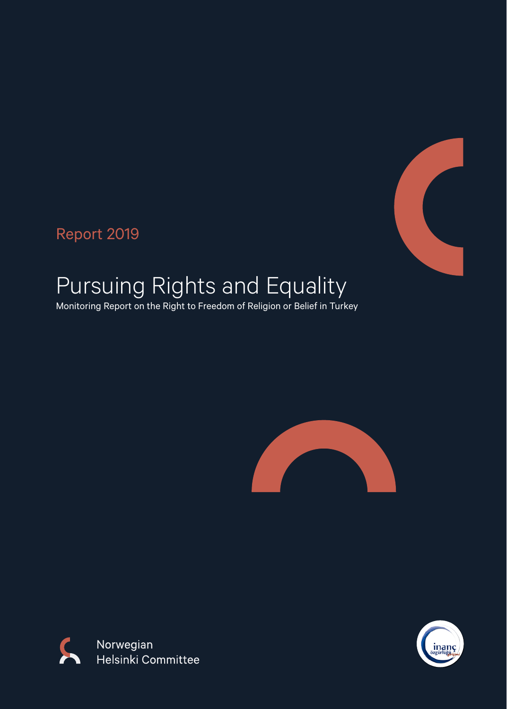

Report 2019

# Pursuing Rights and Equality

Monitoring Report on the Right to Freedom of Religion or Belief in Turkey





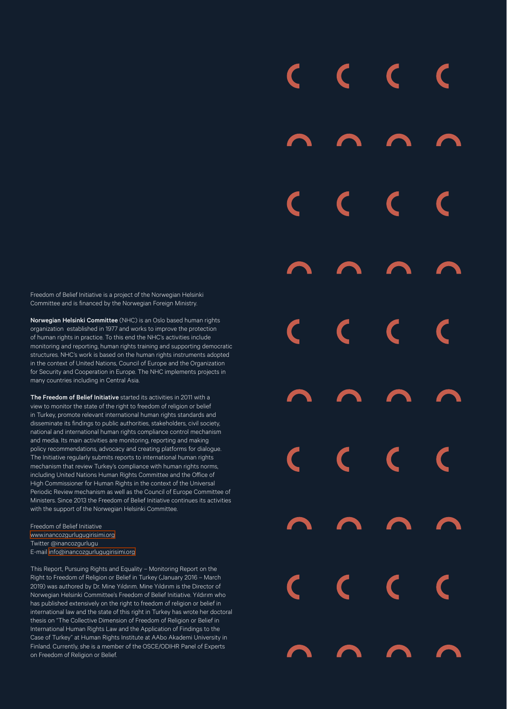Freedom of Belief Initiative is a project of the Norwegian Helsinki Committee and is financed by the Norwegian Foreign Ministry.

Norwegian Helsinki Committee (NHC) is an Oslo based human rights organization established in 1977 and works to improve the protection of human rights in practice. To this end the NHC's activities include monitoring and reporting, human rights training and supporting democratic structures. NHC's work is based on the human rights instruments adopted in the context of United Nations, Council of Europe and the Organization for Security and Cooperation in Europe. The NHC implements projects in many countries including in Central Asia.

The Freedom of Belief Initiative started its activities in 2011 with a view to monitor the state of the right to freedom of religion or belief in Turkey, promote relevant international human rights standards and disseminate its findings to public authorities, stakeholders, civil society, national and international human rights compliance control mechanism and media. Its main activities are monitoring, reporting and making policy recommendations, advocacy and creating platforms for dialogue. The Initiative regularly submits reports to international human rights mechanism that review Turkey's compliance with human rights norms, including United Nations Human Rights Committee and the Office of High Commissioner for Human Rights in the context of the Universal Periodic Review mechanism as well as the Council of Europe Committee of Ministers. Since 2013 the Freedom of Belief Initiative continues its activities with the support of the Norwegian Helsinki Committee.

Freedom of Belief Initiative [www.inancozgurlugugirisimi.org](http://www.inancozgurlugugirisimi.org) Twitter @inancozgurlugu E-mail [info@inancozgurlugugirisimi.org](mailto:info%40inancozgurlugugirisimi.org?subject=)

This Report, Pursuing Rights and Equality – Monitoring Report on the Right to Freedom of Religion or Belief in Turkey (January 2016 – March 2019) was authored by Dr. Mine Yıldırım. Mine Yıldırım is the Director of Norwegian Helsinki Committee's Freedom of Belief Initiative. Yıldırım who has published extensively on the right to freedom of religion or belief in international law and the state of this right in Turkey has wrote her doctoral thesis on "The Collective Dimension of Freedom of Religion or Belief in International Human Rights Law and the Application of Findings to the Case of Turkey" at Human Rights Institute at AAbo Akademi University in Finland. Currently, she is a member of the OSCE/ODIHR Panel of Experts on Freedom of Religion or Belief.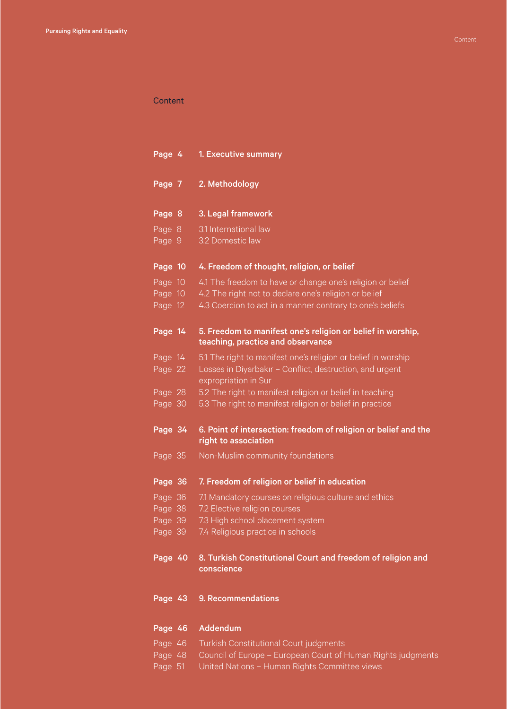### Content

| Page 4  | 1. Executive summary                                                                             |
|---------|--------------------------------------------------------------------------------------------------|
| Page 7  | 2. Methodology                                                                                   |
| Page 8  | 3. Legal framework                                                                               |
| Page 8  | 3.1 International law                                                                            |
| Page 9  | 3.2 Domestic law                                                                                 |
| Page 10 | 4. Freedom of thought, religion, or belief                                                       |
| Page 10 | 4.1 The freedom to have or change one's religion or belief                                       |
| Page 10 | 4.2 The right not to declare one's religion or belief                                            |
| Page 12 | 4.3 Coercion to act in a manner contrary to one's beliefs                                        |
| Page 14 | 5. Freedom to manifest one's religion or belief in worship,<br>teaching, practice and observance |
| Page 14 | 5.1 The right to manifest one's religion or belief in worship                                    |
| Page 22 | Losses in Diyarbakır - Conflict, destruction, and urgent<br>expropriation in Sur                 |
| Page 28 | 5.2 The right to manifest religion or belief in teaching                                         |
| Page 30 | 5.3 The right to manifest religion or belief in practice                                         |
| Page 34 | 6. Point of intersection: freedom of religion or belief and the<br>right to association          |
| Page 35 | Non-Muslim community foundations                                                                 |
| Page 36 | 7. Freedom of religion or belief in education                                                    |
| Page 36 | 7.1 Mandatory courses on religious culture and ethics                                            |
| Page 38 | 7.2 Elective religion courses                                                                    |
| Page 39 | 7.3 High school placement system                                                                 |
| Page 39 | 7.4 Religious practice in schools                                                                |
| Page 40 | 8. Turkish Constitutional Court and freedom of religion and<br>conscience                        |
| Page 43 | 9. Recommendations                                                                               |
| Page 46 | Addendum                                                                                         |
| Page 46 | Turkish Constitutional Court judgments                                                           |

- Page 48 [Council of Europe European Court of Human Rights judgments](#page-47-0)
- Page 51 [United Nations Human Rights Committee views](#page-50-0)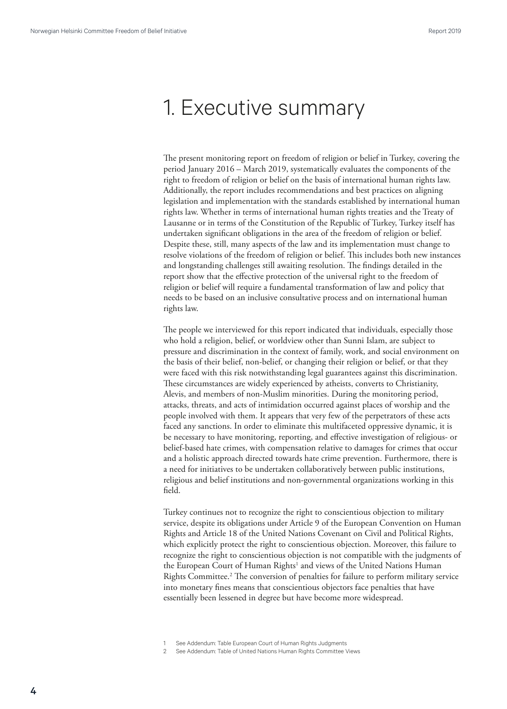### <span id="page-3-0"></span>1. Executive summary

The present monitoring report on freedom of religion or belief in Turkey, covering the period January 2016 – March 2019, systematically evaluates the components of the right to freedom of religion or belief on the basis of international human rights law. Additionally, the report includes recommendations and best practices on aligning legislation and implementation with the standards established by international human rights law. Whether in terms of international human rights treaties and the Treaty of Lausanne or in terms of the Constitution of the Republic of Turkey, Turkey itself has undertaken significant obligations in the area of the freedom of religion or belief. Despite these, still, many aspects of the law and its implementation must change to resolve violations of the freedom of religion or belief. This includes both new instances and longstanding challenges still awaiting resolution. The findings detailed in the report show that the effective protection of the universal right to the freedom of religion or belief will require a fundamental transformation of law and policy that needs to be based on an inclusive consultative process and on international human rights law.

The people we interviewed for this report indicated that individuals, especially those who hold a religion, belief, or worldview other than Sunni Islam, are subject to pressure and discrimination in the context of family, work, and social environment on the basis of their belief, non-belief, or changing their religion or belief, or that they were faced with this risk notwithstanding legal guarantees against this discrimination. These circumstances are widely experienced by atheists, converts to Christianity, Alevis, and members of non-Muslim minorities. During the monitoring period, attacks, threats, and acts of intimidation occurred against places of worship and the people involved with them. It appears that very few of the perpetrators of these acts faced any sanctions. In order to eliminate this multifaceted oppressive dynamic, it is be necessary to have monitoring, reporting, and effective investigation of religious- or belief-based hate crimes, with compensation relative to damages for crimes that occur and a holistic approach directed towards hate crime prevention. Furthermore, there is a need for initiatives to be undertaken collaboratively between public institutions, religious and belief institutions and non-governmental organizations working in this field.

Turkey continues not to recognize the right to conscientious objection to military service, despite its obligations under Article 9 of the European Convention on Human Rights and Article 18 of the United Nations Covenant on Civil and Political Rights, which explicitly protect the right to conscientious objection. Moreover, this failure to recognize the right to conscientious objection is not compatible with the judgments of the European Court of Human Rights<sup>1</sup> and views of the United Nations Human Rights Committee.2 The conversion of penalties for failure to perform military service into monetary fines means that conscientious objectors face penalties that have essentially been lessened in degree but have become more widespread.

See Addendum: Table European Court of Human Rights Judgments

See Addendum: Table of United Nations Human Rights Committee Views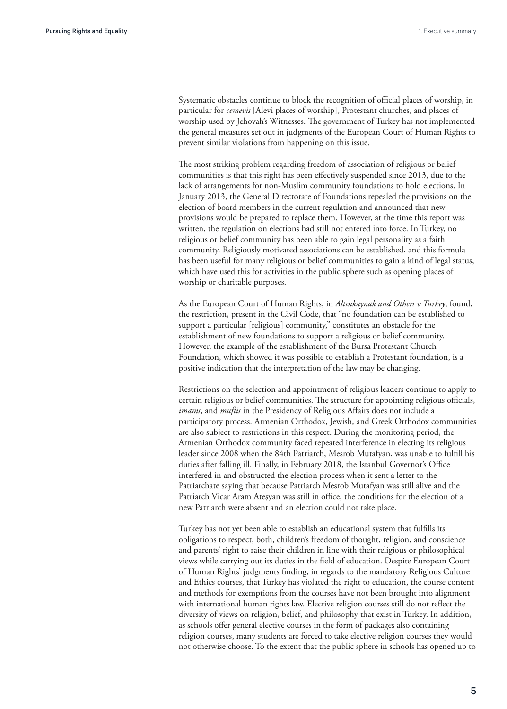Systematic obstacles continue to block the recognition of official places of worship, in particular for *cemevis* [Alevi places of worship], Protestant churches, and places of worship used by Jehovah's Witnesses. The government of Turkey has not implemented the general measures set out in judgments of the European Court of Human Rights to prevent similar violations from happening on this issue.

The most striking problem regarding freedom of association of religious or belief communities is that this right has been effectively suspended since 2013, due to the lack of arrangements for non-Muslim community foundations to hold elections. In January 2013, the General Directorate of Foundations repealed the provisions on the election of board members in the current regulation and announced that new provisions would be prepared to replace them. However, at the time this report was written, the regulation on elections had still not entered into force. In Turkey, no religious or belief community has been able to gain legal personality as a faith community. Religiously motivated associations can be established, and this formula has been useful for many religious or belief communities to gain a kind of legal status, which have used this for activities in the public sphere such as opening places of worship or charitable purposes.

As the European Court of Human Rights, in *Altınkaynak and Others v Turkey*, found, the restriction, present in the Civil Code, that "no foundation can be established to support a particular [religious] community," constitutes an obstacle for the establishment of new foundations to support a religious or belief community. However, the example of the establishment of the Bursa Protestant Church Foundation, which showed it was possible to establish a Protestant foundation, is a positive indication that the interpretation of the law may be changing.

Restrictions on the selection and appointment of religious leaders continue to apply to certain religious or belief communities. The structure for appointing religious officials, *imams*, and *muftis* in the Presidency of Religious Affairs does not include a participatory process. Armenian Orthodox, Jewish, and Greek Orthodox communities are also subject to restrictions in this respect. During the monitoring period, the Armenian Orthodox community faced repeated interference in electing its religious leader since 2008 when the 84th Patriarch, Mesrob Mutafyan, was unable to fulfill his duties after falling ill. Finally, in February 2018, the Istanbul Governor's Office interfered in and obstructed the election process when it sent a letter to the Patriarchate saying that because Patriarch Mesrob Mutafyan was still alive and the Patriarch Vicar Aram Ateşyan was still in office, the conditions for the election of a new Patriarch were absent and an election could not take place.

Turkey has not yet been able to establish an educational system that fulfills its obligations to respect, both, children's freedom of thought, religion, and conscience and parents' right to raise their children in line with their religious or philosophical views while carrying out its duties in the field of education. Despite European Court of Human Rights' judgments finding, in regards to the mandatory Religious Culture and Ethics courses, that Turkey has violated the right to education, the course content and methods for exemptions from the courses have not been brought into alignment with international human rights law. Elective religion courses still do not reflect the diversity of views on religion, belief, and philosophy that exist in Turkey. In addition, as schools offer general elective courses in the form of packages also containing religion courses, many students are forced to take elective religion courses they would not otherwise choose. To the extent that the public sphere in schools has opened up to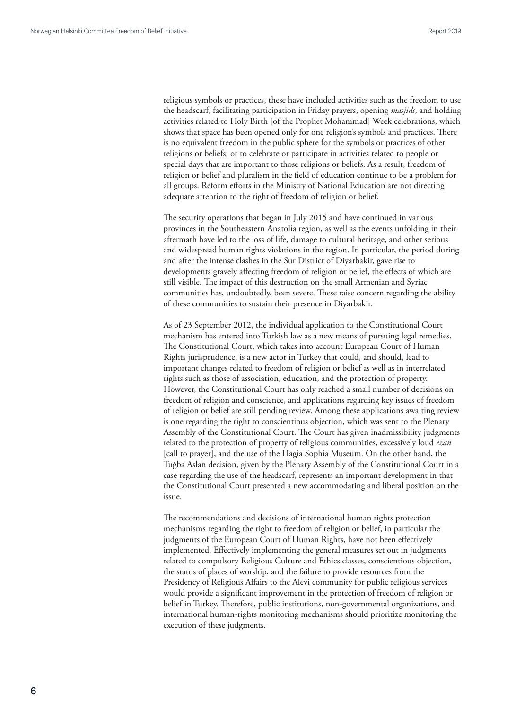religious symbols or practices, these have included activities such as the freedom to use the headscarf, facilitating participation in Friday prayers, opening *masjids*, and holding activities related to Holy Birth [of the Prophet Mohammad] Week celebrations, which shows that space has been opened only for one religion's symbols and practices. There is no equivalent freedom in the public sphere for the symbols or practices of other religions or beliefs, or to celebrate or participate in activities related to people or special days that are important to those religions or beliefs. As a result, freedom of religion or belief and pluralism in the field of education continue to be a problem for all groups. Reform efforts in the Ministry of National Education are not directing adequate attention to the right of freedom of religion or belief.

The security operations that began in July 2015 and have continued in various provinces in the Southeastern Anatolia region, as well as the events unfolding in their aftermath have led to the loss of life, damage to cultural heritage, and other serious and widespread human rights violations in the region. In particular, the period during and after the intense clashes in the Sur District of Diyarbakir, gave rise to developments gravely affecting freedom of religion or belief, the effects of which are still visible. The impact of this destruction on the small Armenian and Syriac communities has, undoubtedly, been severe. These raise concern regarding the ability of these communities to sustain their presence in Diyarbakir.

As of 23 September 2012, the individual application to the Constitutional Court mechanism has entered into Turkish law as a new means of pursuing legal remedies. The Constitutional Court, which takes into account European Court of Human Rights jurisprudence, is a new actor in Turkey that could, and should, lead to important changes related to freedom of religion or belief as well as in interrelated rights such as those of association, education, and the protection of property. However, the Constitutional Court has only reached a small number of decisions on freedom of religion and conscience, and applications regarding key issues of freedom of religion or belief are still pending review. Among these applications awaiting review is one regarding the right to conscientious objection, which was sent to the Plenary Assembly of the Constitutional Court. The Court has given inadmissibility judgments related to the protection of property of religious communities, excessively loud *ezan* [call to prayer], and the use of the Hagia Sophia Museum. On the other hand, the Tuğba Aslan decision, given by the Plenary Assembly of the Constitutional Court in a case regarding the use of the headscarf, represents an important development in that the Constitutional Court presented a new accommodating and liberal position on the issue.

The recommendations and decisions of international human rights protection mechanisms regarding the right to freedom of religion or belief, in particular the judgments of the European Court of Human Rights, have not been effectively implemented. Effectively implementing the general measures set out in judgments related to compulsory Religious Culture and Ethics classes, conscientious objection, the status of places of worship, and the failure to provide resources from the Presidency of Religious Affairs to the Alevi community for public religious services would provide a significant improvement in the protection of freedom of religion or belief in Turkey. Therefore, public institutions, non-governmental organizations, and international human-rights monitoring mechanisms should prioritize monitoring the execution of these judgments.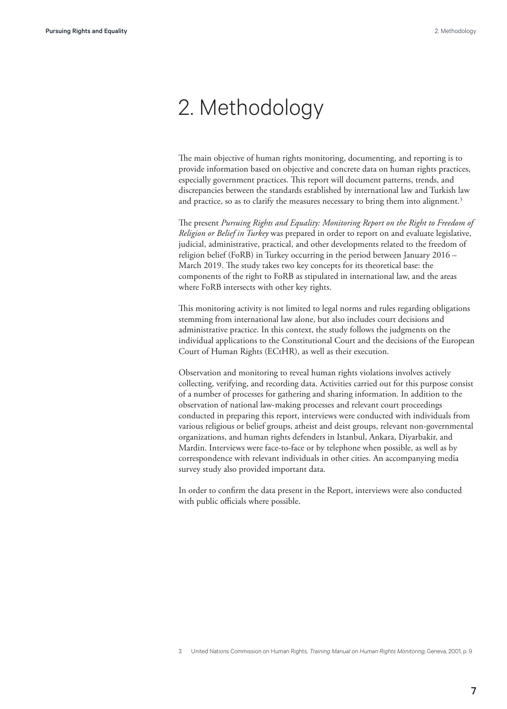### <span id="page-6-0"></span>2. Methodology

The main objective of human rights monitoring, documenting, and reporting is to provide information based on objective and concrete data on human rights practices, especially government practices. This report will document patterns, trends, and discrepancies between the standards established by international law and Turkish law and practice, so as to clarify the measures necessary to bring them into alignment.<sup>3</sup>

The present *Pursuing Rights and Equality: Monitoring Report on the Right to Freedom of Religion or Belief in Turkey* was prepared in order to report on and evaluate legislative, judicial, administrative, practical, and other developments related to the freedom of religion belief (FoRB) in Turkey occurring in the period between January 2016 – March 2019. The study takes two key concepts for its theoretical base: the components of the right to FoRB as stipulated in international law, and the areas where FoRB intersects with other key rights.

This monitoring activity is not limited to legal norms and rules regarding obligations stemming from international law alone, but also includes court decisions and administrative practice. In this context, the study follows the judgments on the individual applications to the Constitutional Court and the decisions of the European Court of Human Rights (ECtHR), as well as their execution.

Observation and monitoring to reveal human rights violations involves actively collecting, verifying, and recording data. Activities carried out for this purpose consist of a number of processes for gathering and sharing information. In addition to the observation of national law-making processes and relevant court proceedings conducted in preparing this report, interviews were conducted with individuals from various religious or belief groups, atheist and deist groups, relevant non-governmental organizations, and human rights defenders in Istanbul, Ankara, Diyarbakir, and Mardin. Interviews were face-to-face or by telephone when possible, as well as by correspondence with relevant individuals in other cities. An accompanying media survey study also provided important data.

In order to confirm the data present in the Report, interviews were also conducted with public officials where possible.

United Nations Commission on Human Rights, Training Manual on Human Rights Monitoring, Geneva, 2001, p. 9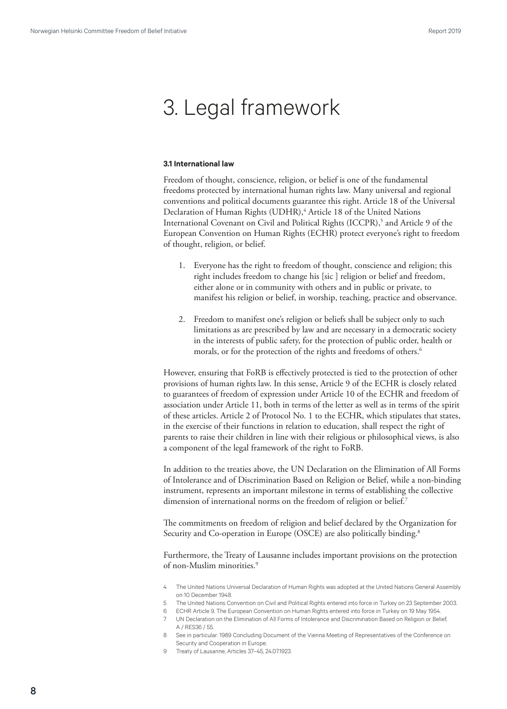## <span id="page-7-0"></span>3. Legal framework

#### **3.1 International law**

Freedom of thought, conscience, religion, or belief is one of the fundamental freedoms protected by international human rights law. Many universal and regional conventions and political documents guarantee this right. Article 18 of the Universal Declaration of Human Rights (UDHR),<sup>4</sup> Article 18 of the United Nations International Covenant on Civil and Political Rights (ICCPR),5 and Article 9 of the European Convention on Human Rights (ECHR) protect everyone's right to freedom of thought, religion, or belief.

- 1. Everyone has the right to freedom of thought, conscience and religion; this right includes freedom to change his [sic ] religion or belief and freedom, either alone or in community with others and in public or private, to manifest his religion or belief, in worship, teaching, practice and observance.
- 2. Freedom to manifest one's religion or beliefs shall be subject only to such limitations as are prescribed by law and are necessary in a democratic society in the interests of public safety, for the protection of public order, health or morals, or for the protection of the rights and freedoms of others.<sup>6</sup>

However, ensuring that FoRB is effectively protected is tied to the protection of other provisions of human rights law. In this sense, Article 9 of the ECHR is closely related to guarantees of freedom of expression under Article 10 of the ECHR and freedom of association under Article 11, both in terms of the letter as well as in terms of the spirit of these articles. Article 2 of Protocol No. 1 to the ECHR, which stipulates that states, in the exercise of their functions in relation to education, shall respect the right of parents to raise their children in line with their religious or philosophical views, is also a component of the legal framework of the right to FoRB.

In addition to the treaties above, the UN Declaration on the Elimination of All Forms of Intolerance and of Discrimination Based on Religion or Belief, while a non-binding instrument, represents an important milestone in terms of establishing the collective dimension of international norms on the freedom of religion or belief.<sup>7</sup>

The commitments on freedom of religion and belief declared by the Organization for Security and Co-operation in Europe (OSCE) are also politically binding.<sup>8</sup>

Furthermore, the Treaty of Lausanne includes important provisions on the protection of non-Muslim minorities.9

- 4 The United Nations Universal Declaration of Human Rights was adopted at the United Nations General Assembly on 10 December 1948.
- 5 The United Nations Convention on Civil and Political Rights entered into force in Turkey on 23 September 2003.
- 6 ECHR Article 9. The European Convention on Human Rights entered into force in Turkey on 19 May 1954.
- 7 UN Declaration on the Elimination of All Forms of Intolerance and Discrimination Based on Religion or Belief, A / RES36 / 55.
- 8 See in particular: 1989 Concluding Document of the Vienna Meeting of Representatives of the Conference on Security and Cooperation in Europe.
- 9 Treaty of Lausanne, Articles 37–45, 24.07.1923.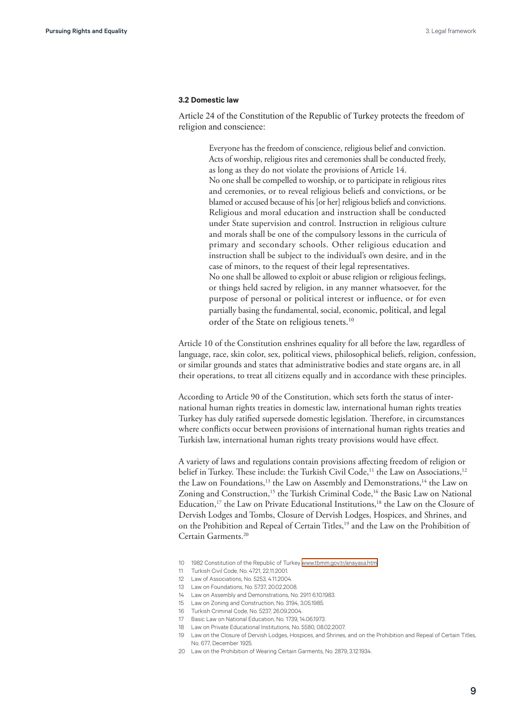### <span id="page-8-0"></span>**3.2 Domestic law**

Article 24 of the Constitution of the Republic of Turkey protects the freedom of religion and conscience:

> Everyone has the freedom of conscience, religious belief and conviction. Acts of worship, religious rites and ceremonies shall be conducted freely, as long as they do not violate the provisions of Article 14. No one shall be compelled to worship, or to participate in religious rites and ceremonies, or to reveal religious beliefs and convictions, or be blamed or accused because of his [or her] religious beliefs and convictions. Religious and moral education and instruction shall be conducted under State supervision and control. Instruction in religious culture and morals shall be one of the compulsory lessons in the curricula of primary and secondary schools. Other religious education and instruction shall be subject to the individual's own desire, and in the case of minors, to the request of their legal representatives. No one shall be allowed to exploit or abuse religion or religious feelings, or things held sacred by religion, in any manner whatsoever, for the purpose of personal or political interest or influence, or for even partially basing the fundamental, social, economic, political, and legal order of the State on religious tenets.<sup>10</sup>

Article 10 of the Constitution enshrines equality for all before the law, regardless of language, race, skin color, sex, political views, philosophical beliefs, religion, confession, or similar grounds and states that administrative bodies and state organs are, in all their operations, to treat all citizens equally and in accordance with these principles.

According to Article 90 of the Constitution, which sets forth the status of international human rights treaties in domestic law, international human rights treaties Turkey has duly ratified supersede domestic legislation. Therefore, in circumstances where conflicts occur between provisions of international human rights treaties and Turkish law, international human rights treaty provisions would have effect.

A variety of laws and regulations contain provisions affecting freedom of religion or belief in Turkey. These include: the Turkish Civil Code,<sup>11</sup> the Law on Associations,<sup>12</sup> the Law on Foundations,<sup>13</sup> the Law on Assembly and Demonstrations,<sup>14</sup> the Law on Zoning and Construction,<sup>15</sup> the Turkish Criminal Code,<sup>16</sup> the Basic Law on National Education,<sup>17</sup> the Law on Private Educational Institutions,<sup>18</sup> the Law on the Closure of Dervish Lodges and Tombs, Closure of Dervish Lodges, Hospices, and Shrines, and on the Prohibition and Repeal of Certain Titles,<sup>19</sup> and the Law on the Prohibition of Certain Garments.20

- 10 1982 Constitution of the Republic of Turkey [www.tbmm.gov.tr/anayasa.htm](http://www.tbmm.gov.tr/anayasa.htm)
- 11 Turkish Civil Code, No. 4721, 22.11.2001.
- 12 Law of Associations, No. 5253, 4.11.2004.
- 13 Law on Foundations, No. 5737, 20.02.2008.
- 14 Law on Assembly and Demonstrations, No. 2911 6.10.1983.
- 15 Law on Zoning and Construction, No. 3194, 3.05.1985.
- 16 Turkish Criminal Code, No. 5237, 26.09.2004.
- 17 Basic Law on National Education, No. 1739, 14.06.1973.
- 18 Law on Private Educational Institutions, No. 5580, 08.02.2007.
- 19 Law on the Closure of Dervish Lodges, Hospices, and Shrines, and on the Prohibition and Repeal of Certain Titles, No. 677, December 1925.
- 20 Law on the Prohibition of Wearing Certain Garments, No. 2879, 3.12.1934.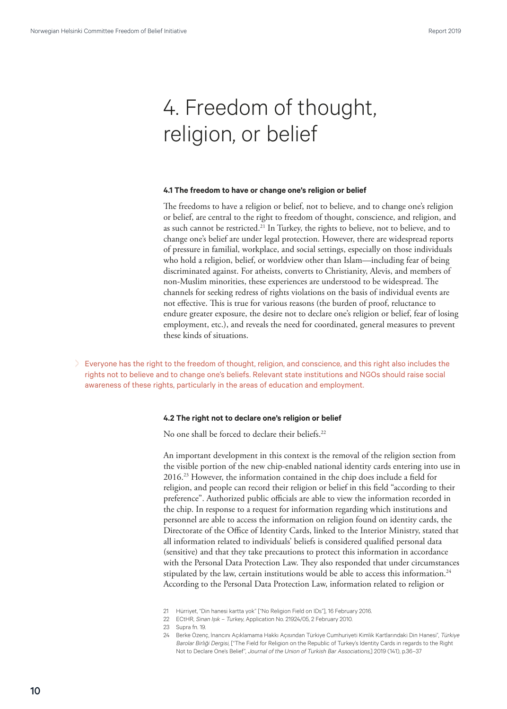# <span id="page-9-0"></span>4. Freedom of thought, religion, or belief

#### **4.1 The freedom to have or change one's religion or belief**

The freedoms to have a religion or belief, not to believe, and to change one's religion or belief, are central to the right to freedom of thought, conscience, and religion, and as such cannot be restricted.<sup>21</sup> In Turkey, the rights to believe, not to believe, and to change one's belief are under legal protection. However, there are widespread reports of pressure in familial, workplace, and social settings, especially on those individuals who hold a religion, belief, or worldview other than Islam—including fear of being discriminated against. For atheists, converts to Christianity, Alevis, and members of non-Muslim minorities, these experiences are understood to be widespread. The channels for seeking redress of rights violations on the basis of individual events are not effective. This is true for various reasons (the burden of proof, reluctance to endure greater exposure, the desire not to declare one's religion or belief, fear of losing employment, etc.), and reveals the need for coordinated, general measures to prevent these kinds of situations.

> Everyone has the right to the freedom of thought, religion, and conscience, and this right also includes the rights not to believe and to change one's beliefs. Relevant state institutions and NGOs should raise social awareness of these rights, particularly in the areas of education and employment.

#### **4.2 The right not to declare one's religion or belief**

No one shall be forced to declare their beliefs.<sup>22</sup>

An important development in this context is the removal of the religion section from the visible portion of the new chip-enabled national identity cards entering into use in 2016.23 However, the information contained in the chip does include a field for religion, and people can record their religion or belief in this field "according to their preference". Authorized public officials are able to view the information recorded in the chip. In response to a request for information regarding which institutions and personnel are able to access the information on religion found on identity cards, the Directorate of the Office of Identity Cards, linked to the Interior Ministry, stated that all information related to individuals' beliefs is considered qualified personal data (sensitive) and that they take precautions to protect this information in accordance with the Personal Data Protection Law. They also responded that under circumstances stipulated by the law, certain institutions would be able to access this information.<sup>24</sup> According to the Personal Data Protection Law, information related to religion or

- 21 Hürriyet, "Din hanesi kartta yok" ["No Religion Field on IDs"], 16 February 2016.
- 22 ECtHR, Sinan Işık Turkey, Application No. 21924/05, 2 February 2010.
- 23 Supra fn. 19.
- 24 Berke Özenç, İnancını Açıklamama Hakkı Açısından Türkiye Cumhuriyeti Kimlik Kartlarındaki Din Hanesi", Türkiye Barolar Birliği Dergisi, ["The Field for Religion on the Republic of Turkey's Identity Cards in regards to the Right Not to Declare One's Belief", Journal of the Union of Turkish Bar Associations,] 2019 (141), p.36–37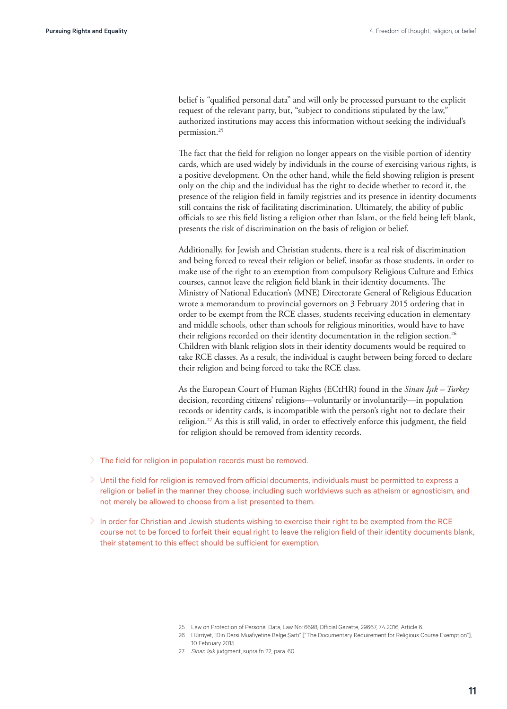belief is "qualified personal data" and will only be processed pursuant to the explicit request of the relevant party, but, "subject to conditions stipulated by the law," authorized institutions may access this information without seeking the individual's permission.25

The fact that the field for religion no longer appears on the visible portion of identity cards, which are used widely by individuals in the course of exercising various rights, is a positive development. On the other hand, while the field showing religion is present only on the chip and the individual has the right to decide whether to record it, the presence of the religion field in family registries and its presence in identity documents still contains the risk of facilitating discrimination. Ultimately, the ability of public officials to see this field listing a religion other than Islam, or the field being left blank, presents the risk of discrimination on the basis of religion or belief.

Additionally, for Jewish and Christian students, there is a real risk of discrimination and being forced to reveal their religion or belief, insofar as those students, in order to make use of the right to an exemption from compulsory Religious Culture and Ethics courses, cannot leave the religion field blank in their identity documents. The Ministry of National Education's (MNE) Directorate General of Religious Education wrote a memorandum to provincial governors on 3 February 2015 ordering that in order to be exempt from the RCE classes, students receiving education in elementary and middle schools, other than schools for religious minorities, would have to have their religions recorded on their identity documentation in the religion section.<sup>26</sup> Children with blank religion slots in their identity documents would be required to take RCE classes. As a result, the individual is caught between being forced to declare their religion and being forced to take the RCE class.

As the European Court of Human Rights (ECtHR) found in the *Sinan Işık – Turkey* decision, recording citizens' religions—voluntarily or involuntarily—in population records or identity cards, is incompatible with the person's right not to declare their religion.<sup>27</sup> As this is still valid, in order to effectively enforce this judgment, the field for religion should be removed from identity records.

- > The field for religion in population records must be removed.
- > Until the field for religion is removed from official documents, individuals must be permitted to express a religion or belief in the manner they choose, including such worldviews such as atheism or agnosticism, and not merely be allowed to choose from a list presented to them.
- > In order for Christian and Jewish students wishing to exercise their right to be exempted from the RCE course not to be forced to forfeit their equal right to leave the religion field of their identity documents blank, their statement to this effect should be sufficient for exemption.

- 26 Hürriyet, "Din Dersi Muafiyetine Belge Şartı" ["The Documentary Requirement for Religious Course Exemption"], 10 February 2015.
- 27 Sinan Işık judgment, supra fn 22, para. 60.

<sup>25</sup> Law on Protection of Personal Data, Law No: 6698, Official Gazette, 29667, 74, 2016, Article 6.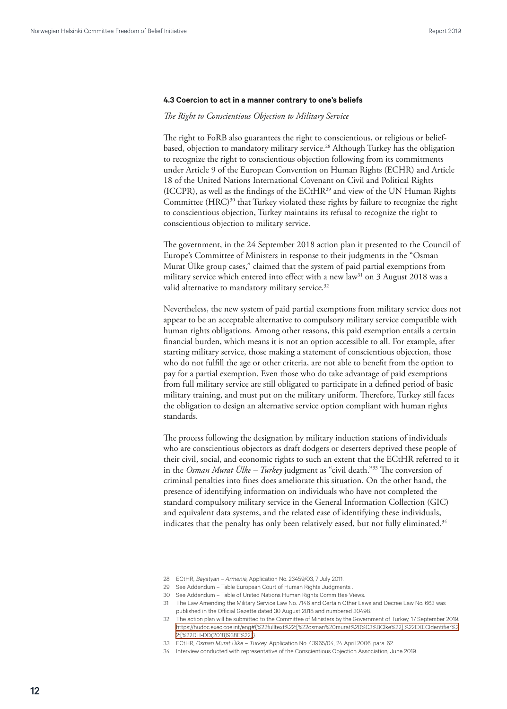#### <span id="page-11-0"></span>**4.3 Coercion to act in a manner contrary to one's beliefs**

#### *The Right to Conscientious Objection to Military Service*

The right to FoRB also guarantees the right to conscientious, or religious or beliefbased, objection to mandatory military service.<sup>28</sup> Although Turkey has the obligation to recognize the right to conscientious objection following from its commitments under Article 9 of the European Convention on Human Rights (ECHR) and Article 18 of the United Nations International Covenant on Civil and Political Rights (ICCPR), as well as the findings of the ECtHR29 and view of the UN Human Rights Committee (HRC)<sup>30</sup> that Turkey violated these rights by failure to recognize the right to conscientious objection, Turkey maintains its refusal to recognize the right to conscientious objection to military service.

The government, in the 24 September 2018 action plan it presented to the Council of Europe's Committee of Ministers in response to their judgments in the "Osman Murat Ülke group cases," claimed that the system of paid partial exemptions from military service which entered into effect with a new law<sup>31</sup> on 3 August 2018 was a valid alternative to mandatory military service.<sup>32</sup>

Nevertheless, the new system of paid partial exemptions from military service does not appear to be an acceptable alternative to compulsory military service compatible with human rights obligations. Among other reasons, this paid exemption entails a certain financial burden, which means it is not an option accessible to all. For example, after starting military service, those making a statement of conscientious objection, those who do not fulfill the age or other criteria, are not able to benefit from the option to pay for a partial exemption. Even those who do take advantage of paid exemptions from full military service are still obligated to participate in a defined period of basic military training, and must put on the military uniform. Therefore, Turkey still faces the obligation to design an alternative service option compliant with human rights standards.

The process following the designation by military induction stations of individuals who are conscientious objectors as draft dodgers or deserters deprived these people of their civil, social, and economic rights to such an extent that the ECtHR referred to it in the *Osman Murat Ülke – Turkey* judgment as "civil death."33 The conversion of criminal penalties into fines does ameliorate this situation. On the other hand, the presence of identifying information on individuals who have not completed the standard compulsory military service in the General Information Collection (GIC) and equivalent data systems, and the related ease of identifying these individuals, indicates that the penalty has only been relatively eased, but not fully eliminated. $34$ 

29 See Addendum – Table European Court of Human Rights Judgments .

<sup>28</sup> ECtHR, Bayatyan – Armenia, Application No. 23459/03, 7 July 2011.

<sup>30</sup> See Addendum – Table of United Nations Human Rights Committee Views.

<sup>31</sup> The Law Amending the Military Service Law No. 7146 and Certain Other Laws and Decree Law No. 663 was published in the Official Gazette dated 30 August 2018 and numbered 30498.

<sup>32</sup> The action plan will be submitted to the Committee of Ministers by the Government of Turkey, 17 September 2019. [https://hudoc.exec.coe.int/eng#{%22fulltext%22:\[%22osman%20murat%20%C3%BClke%22\],%22EXECIdentifier%2](https://hudoc.exec.coe.int/eng#{%22fulltext%22:[%22osman%20murat%20%C3%BClke%22],%22EXECIdentifier%2) [2:\[%22DH-DD\(2018\)938E%22\]}](https://hudoc.exec.coe.int/eng#{%22fulltext%22:[%22osman%20murat%20%C3%BClke%22],%22EXECIdentifier%2).

<sup>33</sup> ECtHR, Osman Murat Ülke – Turkey, Application No. 43965/04, 24 April 2006, para. 62.

<sup>34</sup> Interview conducted with representative of the Conscientious Objection Association, June 2019.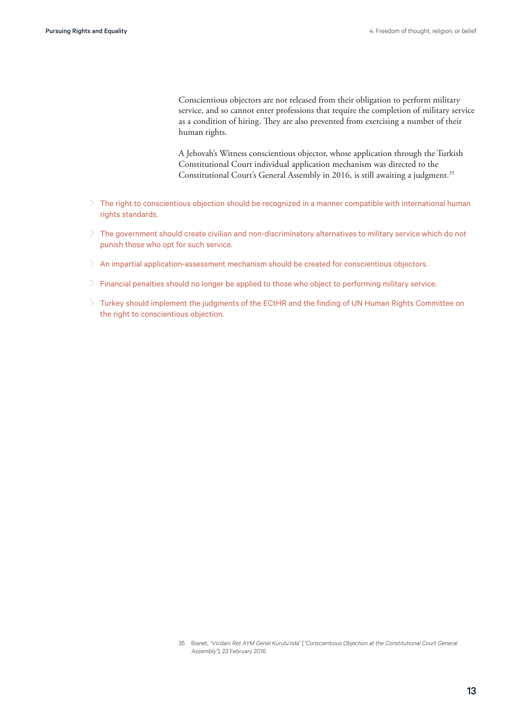Conscientious objectors are not released from their obligation to perform military service, and so cannot enter professions that require the completion of military service as a condition of hiring. They are also prevented from exercising a number of their human rights.

A Jehovah's Witness conscientious objector, whose application through the Turkish Constitutional Court individual application mechanism was directed to the Constitutional Court's General Assembly in 2016, is still awaiting a judgment.<sup>35</sup>

- > The right to conscientious objection should be recognized in a manner compatible with international human rights standards.
- > The government should create civilian and non-discriminatory alternatives to military service which do not punish those who opt for such service.
- > An impartial application-assessment mechanism should be created for conscientious objectors.
- > Financial penalties should no longer be applied to those who object to performing military service.
- > Turkey should implement the judgments of the ECtHR and the finding of UN Human Rights Committee on the right to conscientious objection.

<sup>35</sup> Bianet, "Vicdani Ret AYM Genel Kurulu'nda" ["Conscientious Objection at the Constitutional Court General Assembly"], 23 February 2016.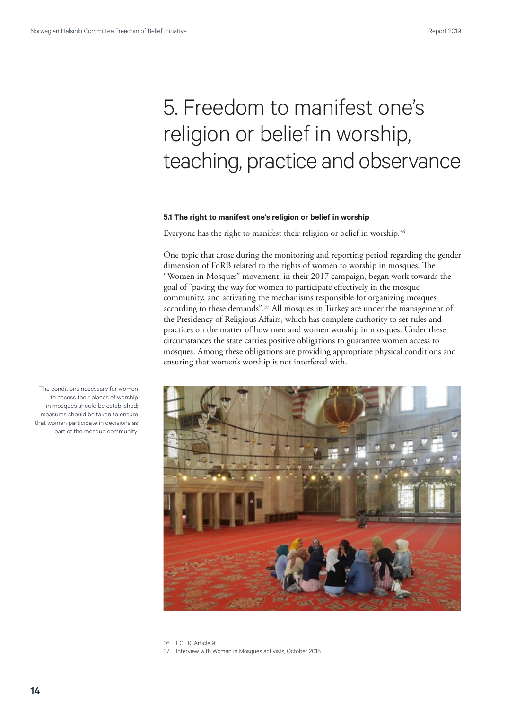# <span id="page-13-0"></span>5. Freedom to manifest one's religion or belief in worship, teaching, practice and observance

#### **5.1 The right to manifest one's religion or belief in worship**

Everyone has the right to manifest their religion or belief in worship.<sup>36</sup>

One topic that arose during the monitoring and reporting period regarding the gender dimension of FoRB related to the rights of women to worship in mosques. The "Women in Mosques" movement, in their 2017 campaign, began work towards the goal of "paving the way for women to participate effectively in the mosque community, and activating the mechanisms responsible for organizing mosques according to these demands".37 All mosques in Turkey are under the management of the Presidency of Religious Affairs, which has complete authority to set rules and practices on the matter of how men and women worship in mosques. Under these circumstances the state carries positive obligations to guarantee women access to mosques. Among these obligations are providing appropriate physical conditions and ensuring that women's worship is not interfered with.



The conditions necessary for women to access their places of worship in mosques should be established; measures should be taken to ensure that women participate in decisions as part of the mosque community.

<sup>36</sup> ECHR, Article 9. 37 Interview with Women in Mosques activists, October 2018.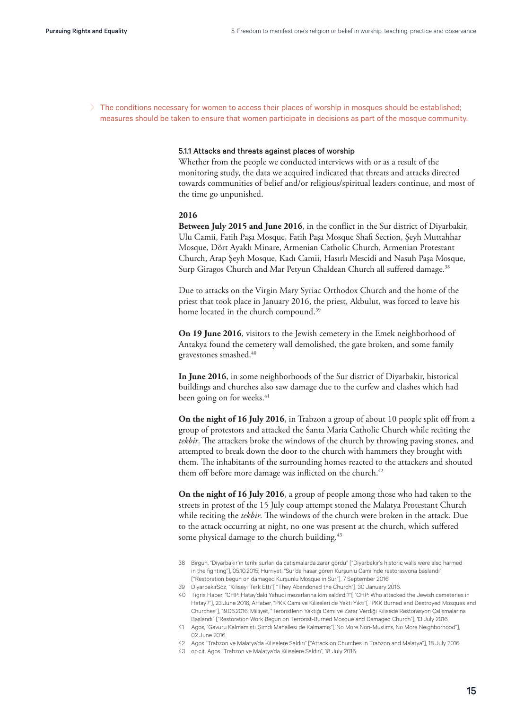> The conditions necessary for women to access their places of worship in mosques should be established; measures should be taken to ensure that women participate in decisions as part of the mosque community.

#### 5.1.1 Attacks and threats against places of worship

Whether from the people we conducted interviews with or as a result of the monitoring study, the data we acquired indicated that threats and attacks directed towards communities of belief and/or religious/spiritual leaders continue, and most of the time go unpunished.

### **2016**

**Between July 2015 and June 2016**, in the conflict in the Sur district of Diyarbakir, Ulu Camii, Fatih Paşa Mosque, Fatih Paşa Mosque Shafi Section, Şeyh Muttahhar Mosque, Dört Ayaklı Minare, Armenian Catholic Church, Armenian Protestant Church, Arap Şeyh Mosque, Kadı Camii, Hasırlı Mescidi and Nasuh Paşa Mosque, Surp Giragos Church and Mar Petyun Chaldean Church all suffered damage.<sup>38</sup>

Due to attacks on the Virgin Mary Syriac Orthodox Church and the home of the priest that took place in January 2016, the priest, Akbulut, was forced to leave his home located in the church compound.<sup>39</sup>

**On 19 June 2016**, visitors to the Jewish cemetery in the Emek neighborhood of Antakya found the cemetery wall demolished, the gate broken, and some family gravestones smashed.40

**In June 2016**, in some neighborhoods of the Sur district of Diyarbakir, historical buildings and churches also saw damage due to the curfew and clashes which had been going on for weeks.<sup>41</sup>

**On the night of 16 July 2016**, in Trabzon a group of about 10 people split off from a group of protestors and attacked the Santa Maria Catholic Church while reciting the *tekbir*. The attackers broke the windows of the church by throwing paving stones, and attempted to break down the door to the church with hammers they brought with them. The inhabitants of the surrounding homes reacted to the attackers and shouted them off before more damage was inflicted on the church.<sup>42</sup>

**On the night of 16 July 2016**, a group of people among those who had taken to the streets in protest of the 15 July coup attempt stoned the Malatya Protestant Church while reciting the *tekbir*. The windows of the church were broken in the attack. Due to the attack occurring at night, no one was present at the church, which suffered some physical damage to the church building.<sup>43</sup>

- 38 Birgün, "Diyarbakır'ın tarihi surları da çatışmalarda zarar gördü" ["Diyarbakır's historic walls were also harmed in the fighting"], 05.10.2015; Hürriyet, "Sur'da hasar gören Kurşunlu Camii'nde restorasyona başlandı" ["Restoration begun on damaged Kurşunlu Mosque in Sur"], 7 September 2016.
- 39 DiyarbakırSöz, "Kiliseyi Terk Etti"[ "They Abandoned the Church"], 30 January 2016.
- 40 Tigris Haber, "CHP: Hatay'daki Yahudi mezarlarına kim saldırdı?"[ "CHP: Who attacked the Jewish cemeteries in Hatay?"], 23 June 2016, AHaber, "PKK Cami ve Kiliseleri de Yaktı Yıktı"[ "PKK Burned and Destroyed Mosques and Churches"], 19.06.2016, Milliyet, "Teröristlerin Yaktığı Cami ve Zarar Verdiği Kilisede Restorasyon Çalışmalarına Başlandı" ["Restoration Work Begun on Terrorist-Burned Mosque and Damaged Church"], 13 July 2016.
- 41 Agos, "Gavuru Kalmamıştı, Şimdi Mahallesi de Kalmamış"["No More Non-Muslims, No More Neighborhood"], 02 June 2016.
- 42 Agos "Trabzon ve Malatya'da Kiliselere Saldırı" ["Attack on Churches in Trabzon and Malatya"], 18 July 2016.
- 43 op.cit. Agos "Trabzon ve Malatya'da Kiliselere Saldırı", 18 July 2016.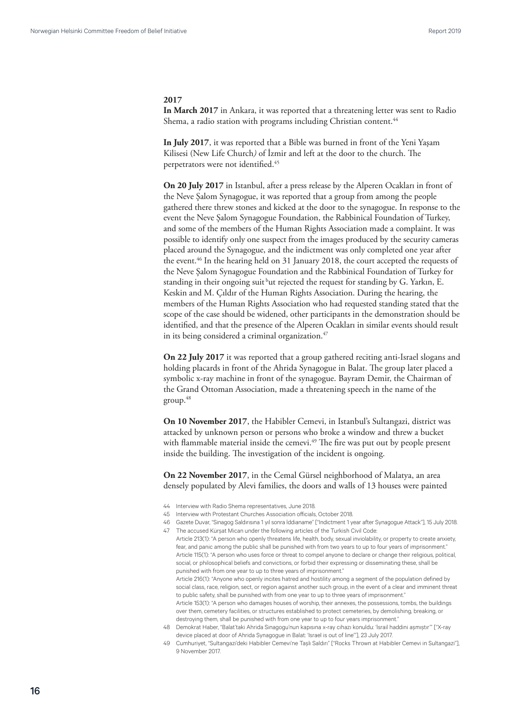#### **2017**

**In March 2017** in Ankara, it was reported that a threatening letter was sent to Radio Shema, a radio station with programs including Christian content.<sup>44</sup>

**In July 2017**, it was reported that a Bible was burned in front of the Yeni Yaşam Kilisesi (New Life Church*)* of İzmir and left at the door to the church. The perpetrators were not identified.45

**On 20 July 2017** in Istanbul, after a press release by the Alperen Ocakları in front of the Neve Şalom Synagogue, it was reported that a group from among the people gathered there threw stones and kicked at the door to the synagogue. In response to the event the Neve Şalom Synagogue Foundation, the Rabbinical Foundation of Turkey, and some of the members of the Human Rights Association made a complaint. It was possible to identify only one suspect from the images produced by the security cameras placed around the Synagogue, and the indictment was only completed one year after the event.<sup>46</sup> In the hearing held on 31 January 2018, the court accepted the requests of the Neve Şalom Synagogue Foundation and the Rabbinical Foundation of Turkey for standing in their ongoing suit but rejected the request for standing by G. Yarkın, E. Keskin and M. Çıldır of the Human Rights Association. During the hearing, the members of the Human Rights Association who had requested standing stated that the scope of the case should be widened, other participants in the demonstration should be identified, and that the presence of the Alperen Ocakları in similar events should result in its being considered a criminal organization.<sup>47</sup>

**On 22 July 2017** it was reported that a group gathered reciting anti-Israel slogans and holding placards in front of the Ahrida Synagogue in Balat. The group later placed a symbolic x-ray machine in front of the synagogue. Bayram Demir, the Chairman of the Grand Ottoman Association, made a threatening speech in the name of the  $group.<sup>48</sup>$ 

**On 10 November 2017**, the Habibler Cemevi, in Istanbul's Sultangazi, district was attacked by unknown person or persons who broke a window and threw a bucket with flammable material inside the cemevi.<sup>49</sup> The fire was put out by people present inside the building. The investigation of the incident is ongoing.

**On 22 November 2017**, in the Cemal Gürsel neighborhood of Malatya, an area densely populated by Alevi families, the doors and walls of 13 houses were painted

- 44 Interview with Radio Shema representatives, June 2018.
- 45 Interview with Protestant Churches Association officials, October 2018.
- 46 Gazete Duvar, "Sinagog Saldırısına 1 yıl sonra İddianame" ["Indictment 1 year after Synagogue Attack"], 15 July 2018. 47 The accused Kürşat Mican under the following articles of the Turkish Civil Code:
- Article 213(1): "A person who openly threatens life, health, body, sexual inviolability, or property to create anxiety, fear, and panic among the public shall be punished with from two years to up to four years of imprisonment." Article 115(1): "A person who uses force or threat to compel anyone to declare or change their religious, political, social, or philosophical beliefs and convictions, or forbid their expressing or disseminating these, shall be punished with from one year to up to three years of imprisonment." Article 216(1): "Anyone who openly incites hatred and hostility among a segment of the population defined by social class, race, religion, sect, or region against another such group, in the event of a clear and imminent threat to public safety, shall be punished with from one year to up to three years of imprisonment." Article 153(1): "A person who damages houses of worship, their annexes, the possessions, tombs, the buildings over them, cemetery facilities, or structures established to protect cemeteries, by demolishing, breaking, or destroying them, shall be punished with from one year to up to four years imprisonment.' 48 Demokrat Haber, "Balat'taki Ahrida Sinagogu'nun kapısına x-ray cihazı konuldu: 'İsrail haddini aşmıştır'" ["X-ray device placed at door of Ahrida Synagogue in Balat: 'Israel is out of line'"], 23 July 2017.
- 49 Cumhuriyet, "Sultangazi'deki Habibler Cemevi'ne Taşlı Saldırı" ["Rocks Thrown at Habibler Cemevi in Sultangazi"], 9 November 2017.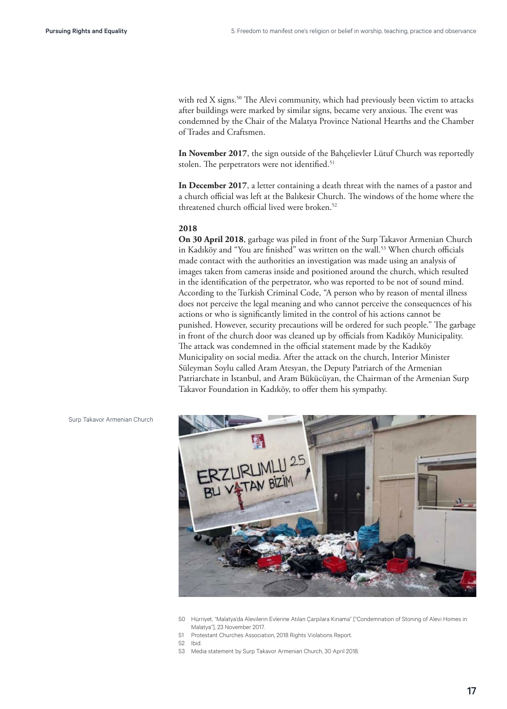with red X signs.<sup>50</sup> The Alevi community, which had previously been victim to attacks after buildings were marked by similar signs, became very anxious. The event was condemned by the Chair of the Malatya Province National Hearths and the Chamber of Trades and Craftsmen.

**In November 2017**, the sign outside of the Bahçelievler Lütuf Church was reportedly stolen. The perpetrators were not identified.<sup>51</sup>

**In December 2017**, a letter containing a death threat with the names of a pastor and a church official was left at the Balıkesir Church. The windows of the home where the threatened church official lived were broken.<sup>52</sup>

#### **2018**

**On 30 April 2018**, garbage was piled in front of the Surp Takavor Armenian Church in Kadıköy and "You are finished" was written on the wall.<sup>53</sup> When church officials made contact with the authorities an investigation was made using an analysis of images taken from cameras inside and positioned around the church, which resulted in the identification of the perpetrator, who was reported to be not of sound mind. According to the Turkish Criminal Code, "A person who by reason of mental illness does not perceive the legal meaning and who cannot perceive the consequences of his actions or who is significantly limited in the control of his actions cannot be punished. However, security precautions will be ordered for such people." The garbage in front of the church door was cleaned up by officials from Kadıköy Municipality. The attack was condemned in the official statement made by the Kadıköy Municipality on social media. After the attack on the church, Interior Minister Süleyman Soylu called Aram Atesyan, the Deputy Patriarch of the Armenian Patriarchate in Istanbul, and Aram Bükücüyan, the Chairman of the Armenian Surp Takavor Foundation in Kadıköy, to offer them his sympathy.



<sup>50</sup> Hürriyet, "Malatya'da Alevilerin Evlerine Atılan Çarpılara Kınama" ["Condemnation of Stoning of Alevi Homes in Malatya"], 23 November 2017.

51 Protestant Churches Association, 2018 Rights Violations Report.

52 Ibid.

53 Media statement by Surp Takavor Armenian Church, 30 April 2018.

Surp Takavor Armenian Church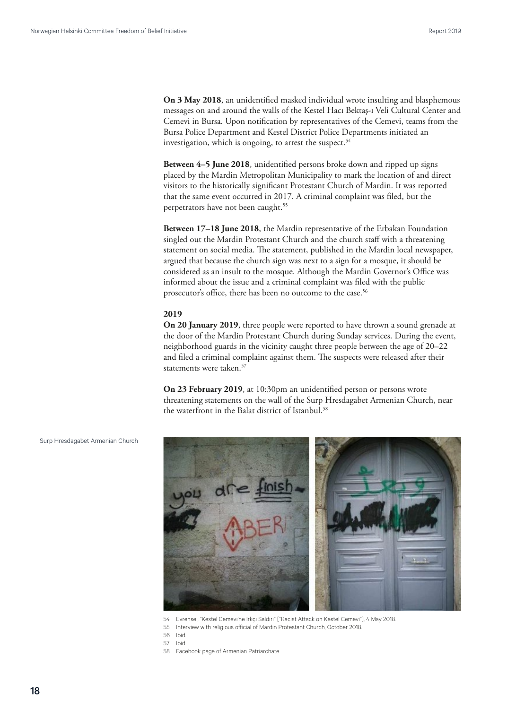**On 3 May 2018**, an unidentified masked individual wrote insulting and blasphemous messages on and around the walls of the Kestel Hacı Bektaş-ı Veli Cultural Center and Cemevi in Bursa. Upon notification by representatives of the Cemevi, teams from the Bursa Police Department and Kestel District Police Departments initiated an investigation, which is ongoing, to arrest the suspect.<sup>54</sup>

**Between 4–5 June 2018**, unidentified persons broke down and ripped up signs placed by the Mardin Metropolitan Municipality to mark the location of and direct visitors to the historically significant Protestant Church of Mardin. It was reported that the same event occurred in 2017. A criminal complaint was filed, but the perpetrators have not been caught.<sup>55</sup>

**Between 17–18 June 2018**, the Mardin representative of the Erbakan Foundation singled out the Mardin Protestant Church and the church staff with a threatening statement on social media. The statement, published in the Mardin local newspaper, argued that because the church sign was next to a sign for a mosque, it should be considered as an insult to the mosque. Although the Mardin Governor's Office was informed about the issue and a criminal complaint was filed with the public prosecutor's office, there has been no outcome to the case.<sup>56</sup>

#### **2019**

**On 20 January 2019**, three people were reported to have thrown a sound grenade at the door of the Mardin Protestant Church during Sunday services. During the event, neighborhood guards in the vicinity caught three people between the age of 20–22 and filed a criminal complaint against them. The suspects were released after their statements were taken.<sup>57</sup>

**On 23 February 2019**, at 10:30pm an unidentified person or persons wrote threatening statements on the wall of the Surp Hresdagabet Armenian Church, near the waterfront in the Balat district of Istanbul.<sup>58</sup>



Surp Hresdagabet Armenian Church

- 54 Evrensel, "Kestel Cemevi'ne Irkçı Saldırı" ["Racist Attack on Kestel Cemevi"], 4 May 2018.
- 55 Interview with religious official of Mardin Protestant Church, October 2018.
- 56 Ibid.
- 57 Ibid.
- 58 Facebook page of Armenian Patriarchate.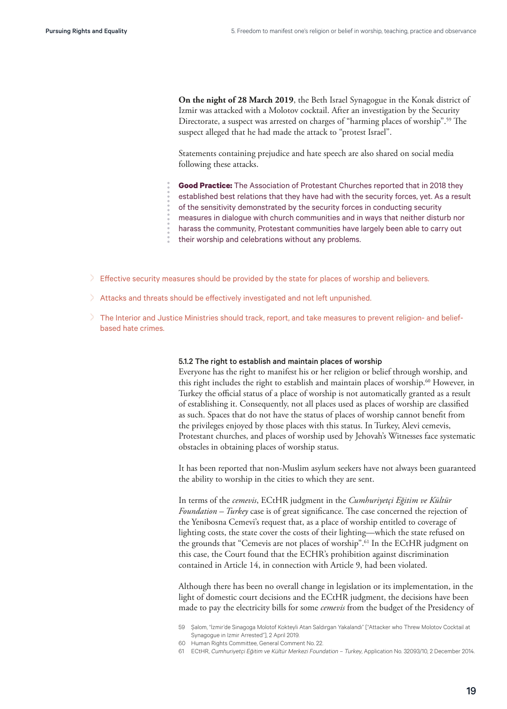**On the night of 28 March 2019**, the Beth Israel Synagogue in the Konak district of Izmir was attacked with a Molotov cocktail. After an investigation by the Security Directorate, a suspect was arrested on charges of "harming places of worship".<sup>59</sup> The suspect alleged that he had made the attack to "protest Israel".

Statements containing prejudice and hate speech are also shared on social media following these attacks.

**Good Practice:** The Association of Protestant Churches reported that in 2018 they

- established best relations that they have had with the security forces, yet. As a result
- of the sensitivity demonstrated by the security forces in conducting security
- measures in dialogue with church communities and in ways that neither disturb nor
- harass the community, Protestant communities have largely been able to carry out
- their worship and celebrations without any problems.
- > Effective security measures should be provided by the state for places of worship and believers.
- > Attacks and threats should be effectively investigated and not left unpunished.
- > The Interior and Justice Ministries should track, report, and take measures to prevent religion- and beliefbased hate crimes.

#### 5.1.2 The right to establish and maintain places of worship

Everyone has the right to manifest his or her religion or belief through worship, and this right includes the right to establish and maintain places of worship.<sup>60</sup> However, in Turkey the official status of a place of worship is not automatically granted as a result of establishing it. Consequently, not all places used as places of worship are classified as such. Spaces that do not have the status of places of worship cannot benefit from the privileges enjoyed by those places with this status. In Turkey, Alevi cemevis, Protestant churches, and places of worship used by Jehovah's Witnesses face systematic obstacles in obtaining places of worship status.

It has been reported that non-Muslim asylum seekers have not always been guaranteed the ability to worship in the cities to which they are sent.

In terms of the *cemevis*, ECtHR judgment in the *Cumhuriyetçi Eğitim ve Kültür Foundation – Turkey* case is of great significance. The case concerned the rejection of the Yenibosna Cemevi's request that, as a place of worship entitled to coverage of lighting costs, the state cover the costs of their lighting—which the state refused on the grounds that "Cemevis are not places of worship".<sup>61</sup> In the ECtHR judgment on this case, the Court found that the ECHR's prohibition against discrimination contained in Article 14, in connection with Article 9, had been violated.

Although there has been no overall change in legislation or its implementation, in the light of domestic court decisions and the ECtHR judgment, the decisions have been made to pay the electricity bills for some *cemevis* from the budget of the Presidency of

60 Human Rights Committee, General Comment No. 22.

<sup>59</sup> Şalom, "İzmir'de Sinagoga Molotof Kokteyli Atan Saldırgan Yakalandı" ["Attacker who Threw Molotov Cocktail at Synagogue in Izmir Arrested"], 2 April 2019.

<sup>61</sup> ECtHR, Cumhuriyetçi Eğitim ve Kültür Merkezi Foundation – Turkey, Application No. 32093/10, 2 December 2014.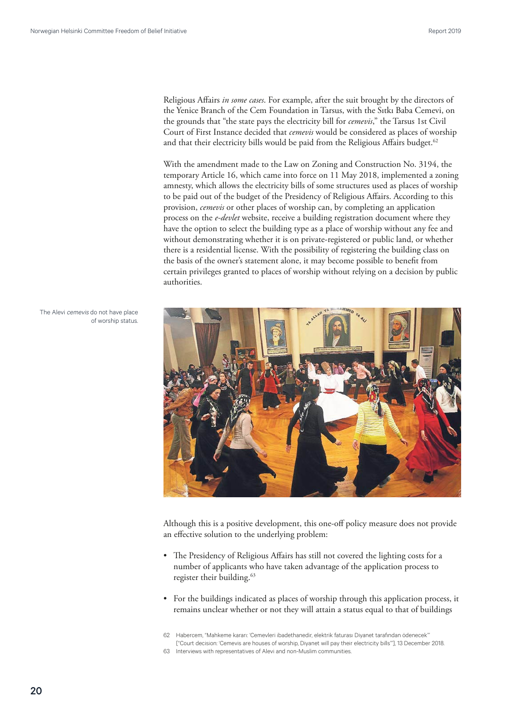Religious Affairs *in some cases*. For example, after the suit brought by the directors of the Yenice Branch of the Cem Foundation in Tarsus, with the Sıtkı Baba Cemevi, on the grounds that "the state pays the electricity bill for *cemevis*," the Tarsus 1st Civil Court of First Instance decided that *cemevis* would be considered as places of worship and that their electricity bills would be paid from the Religious Affairs budget.<sup>62</sup>

With the amendment made to the Law on Zoning and Construction No. 3194, the temporary Article 16, which came into force on 11 May 2018, implemented a zoning amnesty, which allows the electricity bills of some structures used as places of worship to be paid out of the budget of the Presidency of Religious Affairs. According to this provision, *cemevis* or other places of worship can, by completing an application process on the *e-devlet* website, receive a building registration document where they have the option to select the building type as a place of worship without any fee and without demonstrating whether it is on private-registered or public land, or whether there is a residential license. With the possibility of registering the building class on the basis of the owner's statement alone, it may become possible to benefit from certain privileges granted to places of worship without relying on a decision by public authorities.



of worship status.

The Alevi cemevis do not have place

Although this is a positive development, this one-off policy measure does not provide an effective solution to the underlying problem:

- The Presidency of Religious Affairs has still not covered the lighting costs for a number of applicants who have taken advantage of the application process to register their building.<sup>63</sup>
- For the buildings indicated as places of worship through this application process, it remains unclear whether or not they will attain a status equal to that of buildings
- 62 Habercem, "Mahkeme kararı: 'Cemevleri ibadethanedir, elektrik faturası Diyanet tarafından ödenecek'" ["Court decision: 'Cemevis are houses of worship, Diyanet will pay their electricity bills'"], 13 December 2018.
- 63 Interviews with representatives of Alevi and non-Muslim communities.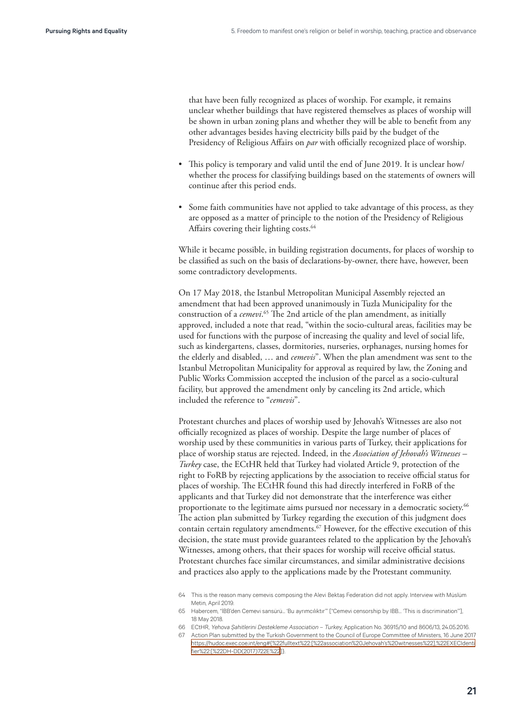that have been fully recognized as places of worship. For example, it remains unclear whether buildings that have registered themselves as places of worship will be shown in urban zoning plans and whether they will be able to benefit from any other advantages besides having electricity bills paid by the budget of the Presidency of Religious Affairs on *par* with officially recognized place of worship.

- This policy is temporary and valid until the end of June 2019. It is unclear how/ whether the process for classifying buildings based on the statements of owners will continue after this period ends.
- Some faith communities have not applied to take advantage of this process, as they are opposed as a matter of principle to the notion of the Presidency of Religious Affairs covering their lighting costs.<sup>64</sup>

While it became possible, in building registration documents, for places of worship to be classified as such on the basis of declarations-by-owner, there have, however, been some contradictory developments.

On 17 May 2018, the Istanbul Metropolitan Municipal Assembly rejected an amendment that had been approved unanimously in Tuzla Municipality for the construction of a *cemevi*. 65 The 2nd article of the plan amendment, as initially approved, included a note that read, "within the socio-cultural areas, facilities may be used for functions with the purpose of increasing the quality and level of social life, such as kindergartens, classes, dormitories, nurseries, orphanages, nursing homes for the elderly and disabled, … and *cemevis*". When the plan amendment was sent to the Istanbul Metropolitan Municipality for approval as required by law, the Zoning and Public Works Commission accepted the inclusion of the parcel as a socio-cultural facility, but approved the amendment only by canceling its 2nd article, which included the reference to "*cemevis*".

Protestant churches and places of worship used by Jehovah's Witnesses are also not officially recognized as places of worship. Despite the large number of places of worship used by these communities in various parts of Turkey, their applications for place of worship status are rejected. Indeed, in the *Association of Jehovah's Witnesses – Turkey* case, the ECtHR held that Turkey had violated Article 9, protection of the right to FoRB by rejecting applications by the association to receive official status for places of worship. The ECtHR found this had directly interfered in FoRB of the applicants and that Turkey did not demonstrate that the interference was either proportionate to the legitimate aims pursued nor necessary in a democratic society.<sup>66</sup> The action plan submitted by Turkey regarding the execution of this judgment does contain certain regulatory amendments.67 However, for the effective execution of this decision, the state must provide guarantees related to the application by the Jehovah's Witnesses, among others, that their spaces for worship will receive official status. Protestant churches face similar circumstances, and similar administrative decisions and practices also apply to the applications made by the Protestant community.

- 65 Habercem, "İBB'den Cemevi sansürü... 'Bu ayrımcılıktır'" ["Cemevi censorship by IBB… 'This is discrimination'"], 18 May 2018.
- 66 ECtHR, Yehova Şahitlerini Destekleme Association Turkey, Application No. 36915/10 and 8606/13, 24.05.2016.
- 67 Action Plan submitted by the Turkish Government to the Council of Europe Committee of Ministers, 16 June 2017 [https://hudoc.exec.coe.int/eng#{%22fulltext%22:\[%22association%20Jehovah's%20witnesses%22\],%22EXECIdenti](https://hudoc.exec.coe.int/eng#{%22fulltext%22:[%22association Jehovah) [fier%22:\[%22DH-DD\(2017\)722E%22](https://hudoc.exec.coe.int/eng#{%22fulltext%22:[%22association Jehovah)]}.

<sup>64</sup> This is the reason many cemevis composing the Alevi Bektaş Federation did not apply. Interview with Müslüm Metin, April 2019.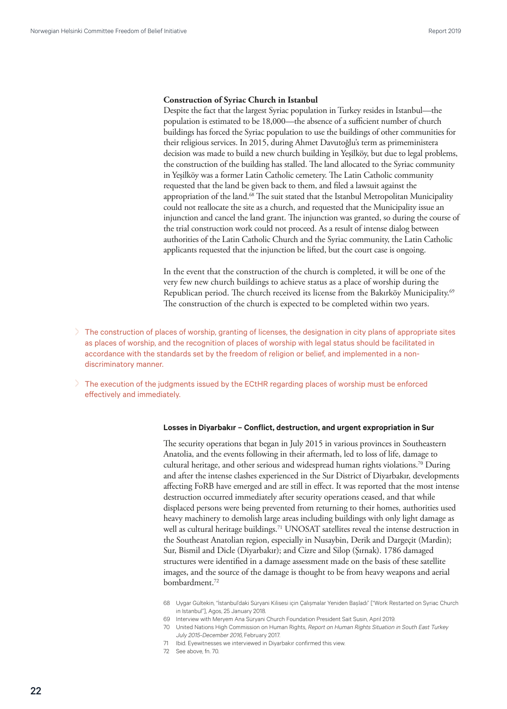#### <span id="page-21-0"></span>**Construction of Syriac Church in Istanbul**

Despite the fact that the largest Syriac population in Turkey resides in Istanbul—the population is estimated to be 18,000—the absence of a sufficient number of church buildings has forced the Syriac population to use the buildings of other communities for their religious services. In 2015, during Ahmet Davutoğlu's term as primeministera decision was made to build a new church building in Yeşilköy, but due to legal problems, the construction of the building has stalled. The land allocated to the Syriac community in Yeşilköy was a former Latin Catholic cemetery. The Latin Catholic community requested that the land be given back to them, and filed a lawsuit against the appropriation of the land.<sup>68</sup> The suit stated that the Istanbul Metropolitan Municipality could not reallocate the site as a church, and requested that the Municipality issue an injunction and cancel the land grant. The injunction was granted, so during the course of the trial construction work could not proceed. As a result of intense dialog between authorities of the Latin Catholic Church and the Syriac community, the Latin Catholic applicants requested that the injunction be lifted, but the court case is ongoing.

In the event that the construction of the church is completed, it will be one of the very few new church buildings to achieve status as a place of worship during the Republican period. The church received its license from the Bakırköy Municipality.<sup>69</sup> The construction of the church is expected to be completed within two years.

- > The construction of places of worship, granting of licenses, the designation in city plans of appropriate sites as places of worship, and the recognition of places of worship with legal status should be facilitated in accordance with the standards set by the freedom of religion or belief, and implemented in a nondiscriminatory manner.
- > The execution of the judgments issued by the ECtHR regarding places of worship must be enforced effectively and immediately.

#### **Losses in Diyarbakır – Conflict, destruction, and urgent expropriation in Sur**

The security operations that began in July 2015 in various provinces in Southeastern Anatolia, and the events following in their aftermath, led to loss of life, damage to cultural heritage, and other serious and widespread human rights violations.70 During and after the intense clashes experienced in the Sur District of Diyarbakır, developments affecting FoRB have emerged and are still in effect. It was reported that the most intense destruction occurred immediately after security operations ceased, and that while displaced persons were being prevented from returning to their homes, authorities used heavy machinery to demolish large areas including buildings with only light damage as well as cultural heritage buildings.<sup>71</sup> UNOSAT satellites reveal the intense destruction in the Southeast Anatolian region, especially in Nusaybin, Derik and Dargeçit (Mardin); Sur, Bismil and Dicle (Diyarbakır); and Cizre and Silop (Şırnak). 1786 damaged structures were identified in a damage assessment made on the basis of these satellite images, and the source of the damage is thought to be from heavy weapons and aerial bombardment.<sup>72</sup>

- 68 Uygar Gültekin, "İstanbul'daki Süryani Kilisesi için Çalışmalar Yeniden Başladı" ["Work Restarted on Syriac Church in Istanbul"], Agos, 25 January 2018.
- 69 Interview with Meryem Ana Süryani Church Foundation President Sait Susin, April 2019.
- 70 United Nations High Commission on Human Rights, Report on Human Rights Situation in South East Turkey July 2015-December 2016, February 2017.
- 71 Ibid. Eyewitnesses we interviewed in Diyarbakır confirmed this view.
- 72 See above, fn. 70.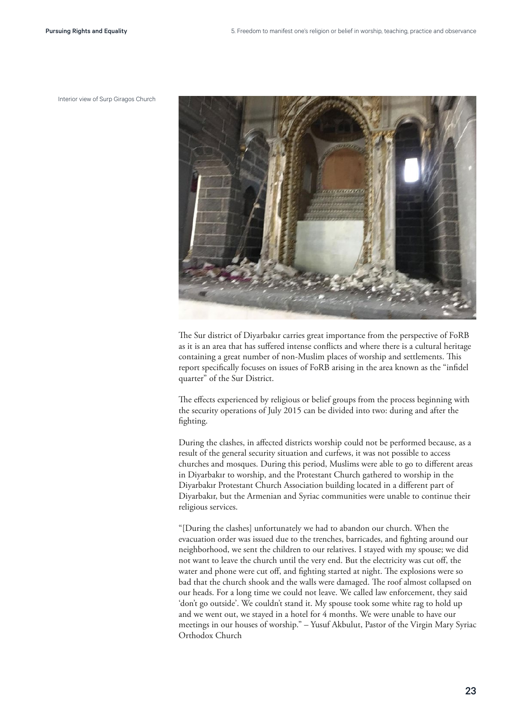



The Sur district of Diyarbakır carries great importance from the perspective of FoRB as it is an area that has suffered intense conflicts and where there is a cultural heritage containing a great number of non-Muslim places of worship and settlements. This report specifically focuses on issues of FoRB arising in the area known as the "infidel quarter" of the Sur District.

The effects experienced by religious or belief groups from the process beginning with the security operations of July 2015 can be divided into two: during and after the fighting.

During the clashes, in affected districts worship could not be performed because, as a result of the general security situation and curfews, it was not possible to access churches and mosques. During this period, Muslims were able to go to different areas in Diyarbakır to worship, and the Protestant Church gathered to worship in the Diyarbakır Protestant Church Association building located in a different part of Diyarbakır, but the Armenian and Syriac communities were unable to continue their religious services.

"[During the clashes] unfortunately we had to abandon our church. When the evacuation order was issued due to the trenches, barricades, and fighting around our neighborhood, we sent the children to our relatives. I stayed with my spouse; we did not want to leave the church until the very end. But the electricity was cut off, the water and phone were cut off, and fighting started at night. The explosions were so bad that the church shook and the walls were damaged. The roof almost collapsed on our heads. For a long time we could not leave. We called law enforcement, they said 'don't go outside'. We couldn't stand it. My spouse took some white rag to hold up and we went out, we stayed in a hotel for 4 months. We were unable to have our meetings in our houses of worship." – Yusuf Akbulut, Pastor of the Virgin Mary Syriac Orthodox Church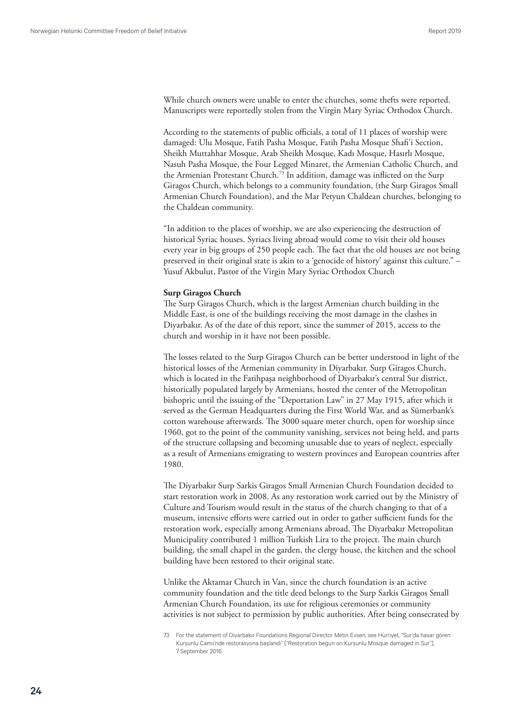While church owners were unable to enter the churches, some thefts were reported. Manuscripts were reportedly stolen from the Virgin Mary Syriac Orthodox Church.

According to the statements of public officials, a total of 11 places of worship were damaged: Ulu Mosque, Fatih Pasha Mosque, Fatih Pasha Mosque Shafi'i Section, Sheikh Muttahhar Mosque, Arab Sheikh Mosque, Kadı Mosque, Hasırlı Mosque, Nasuh Pasha Mosque, the Four Legged Minaret, the Armenian Catholic Church, and the Armenian Protestant Church.<sup>73</sup> In addition, damage was inflicted on the Surp Giragos Church, which belongs to a community foundation, (the Surp Giragos Small Armenian Church Foundation), and the Mar Petyun Chaldean churches, belonging to the Chaldean community.

"In addition to the places of worship, we are also experiencing the destruction of historical Syriac houses. Syriacs living abroad would come to visit their old houses every year in big groups of 250 people each. The fact that the old houses are not being preserved in their original state is akin to a 'genocide of history' against this culture." – Yusuf Akbulut, Pastor of the Virgin Mary Syriac Orthodox Church

#### **Surp Giragos Church**

The Surp Giragos Church, which is the largest Armenian church building in the Middle East, is one of the buildings receiving the most damage in the clashes in Diyarbakır. As of the date of this report, since the summer of 2015, access to the church and worship in it have not been possible.

The losses related to the Surp Giragos Church can be better understood in light of the historical losses of the Armenian community in Diyarbakır. Surp Giragos Church, which is located in the Fatihpaşa neighborhood of Diyarbakır's central Sur district, historically populated largely by Armenians, hosted the center of the Metropolitan bishopric until the issuing of the "Deportation Law" in 27 May 1915, after which it served as the German Headquarters during the First World War, and as Sümerbank's cotton warehouse afterwards. The 3000 square meter church, open for worship since 1960, got to the point of the community vanishing, services not being held, and parts of the structure collapsing and becoming unusable due to years of neglect, especially as a result of Armenians emigrating to western provinces and European countries after 1980.

The Diyarbakır Surp Sarkis Giragos Small Armenian Church Foundation decided to start restoration work in 2008. As any restoration work carried out by the Ministry of Culture and Tourism would result in the status of the church changing to that of a museum, intensive efforts were carried out in order to gather sufficient funds for the restoration work, especially among Armenians abroad. The Diyarbakır Metropolitan Municipality contributed 1 million Turkish Lira to the project. The main church building, the small chapel in the garden, the clergy house, the kitchen and the school building have been restored to their original state.

Unlike the Aktamar Church in Van, since the church foundation is an active community foundation and the title deed belongs to the Surp Sarkis Giragos Small Armenian Church Foundation, its use for religious ceremonies or community activities is not subject to permission by public authorities. After being consecrated by

<sup>73</sup> For the statement of Diyarbakır Foundations Regional Director Metin Evsen, see Hürriyet, "Sur'da hasar gören Kurşunlu Camii'nde restorasyona başlandı" ["Restoration begun on Kurşunlu Mosque damaged in Sur"], 7 September 2016.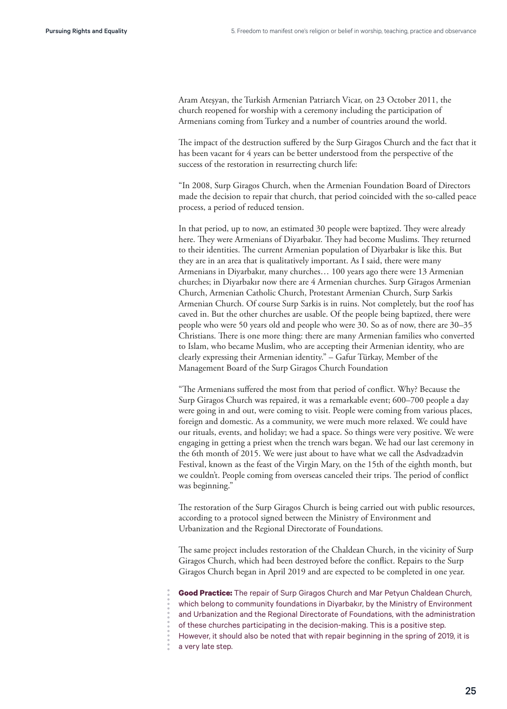Aram Ateşyan, the Turkish Armenian Patriarch Vicar, on 23 October 2011, the church reopened for worship with a ceremony including the participation of Armenians coming from Turkey and a number of countries around the world.

The impact of the destruction suffered by the Surp Giragos Church and the fact that it has been vacant for 4 years can be better understood from the perspective of the success of the restoration in resurrecting church life:

"In 2008, Surp Giragos Church, when the Armenian Foundation Board of Directors made the decision to repair that church, that period coincided with the so-called peace process, a period of reduced tension.

In that period, up to now, an estimated 30 people were baptized. They were already here. They were Armenians of Diyarbakır. They had become Muslims. They returned to their identities. The current Armenian population of Diyarbakır is like this. But they are in an area that is qualitatively important. As I said, there were many Armenians in Diyarbakır, many churches… 100 years ago there were 13 Armenian churches; in Diyarbakır now there are 4 Armenian churches. Surp Giragos Armenian Church, Armenian Catholic Church, Protestant Armenian Church, Surp Sarkis Armenian Church. Of course Surp Sarkis is in ruins. Not completely, but the roof has caved in. But the other churches are usable. Of the people being baptized, there were people who were 50 years old and people who were 30. So as of now, there are 30–35 Christians. There is one more thing: there are many Armenian families who converted to Islam, who became Muslim, who are accepting their Armenian identity, who are clearly expressing their Armenian identity." – Gafur Türkay, Member of the Management Board of the Surp Giragos Church Foundation

"The Armenians suffered the most from that period of conflict. Why? Because the Surp Giragos Church was repaired, it was a remarkable event; 600–700 people a day were going in and out, were coming to visit. People were coming from various places, foreign and domestic. As a community, we were much more relaxed. We could have our rituals, events, and holiday; we had a space. So things were very positive. We were engaging in getting a priest when the trench wars began. We had our last ceremony in the 6th month of 2015. We were just about to have what we call the Asdvadzadvin Festival, known as the feast of the Virgin Mary, on the 15th of the eighth month, but we couldn't. People coming from overseas canceled their trips. The period of conflict was beginning."

The restoration of the Surp Giragos Church is being carried out with public resources, according to a protocol signed between the Ministry of Environment and Urbanization and the Regional Directorate of Foundations.

The same project includes restoration of the Chaldean Church, in the vicinity of Surp Giragos Church, which had been destroyed before the conflict. Repairs to the Surp Giragos Church began in April 2019 and are expected to be completed in one year.

**Good Practice:** The repair of Surp Giragos Church and Mar Petyun Chaldean Church, which belong to community foundations in Diyarbakır, by the Ministry of Environment and Urbanization and the Regional Directorate of Foundations, with the administration of these churches participating in the decision-making. This is a positive step. However, it should also be noted that with repair beginning in the spring of 2019, it is a very late step.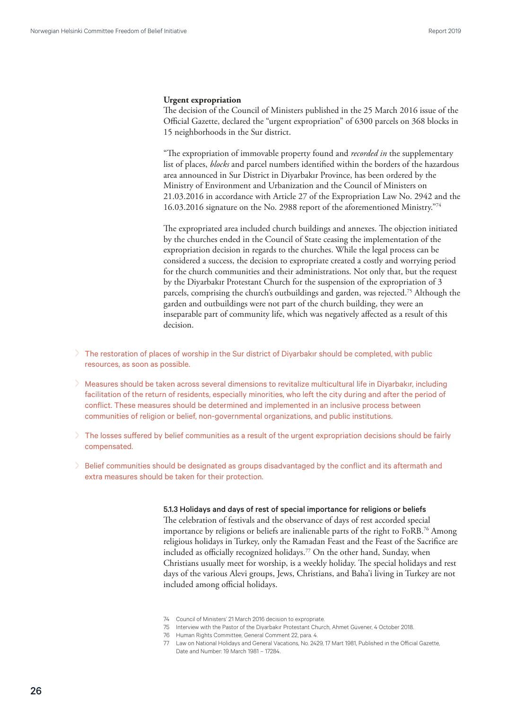#### **Urgent expropriation**

The decision of the Council of Ministers published in the 25 March 2016 issue of the Official Gazette, declared the "urgent expropriation" of 6300 parcels on 368 blocks in 15 neighborhoods in the Sur district.

"The expropriation of immovable property found and *recorded in* the supplementary list of places, *blocks* and parcel numbers identified within the borders of the hazardous area announced in Sur District in Diyarbakır Province, has been ordered by the Ministry of Environment and Urbanization and the Council of Ministers on 21.03.2016 in accordance with Article 27 of the Expropriation Law No. 2942 and the 16.03.2016 signature on the No. 2988 report of the aforementioned Ministry."74

The expropriated area included church buildings and annexes. The objection initiated by the churches ended in the Council of State ceasing the implementation of the expropriation decision in regards to the churches. While the legal process can be considered a success, the decision to expropriate created a costly and worrying period for the church communities and their administrations. Not only that, but the request by the Diyarbakır Protestant Church for the suspension of the expropriation of 3 parcels, comprising the church's outbuildings and garden, was rejected.<sup>75</sup> Although the garden and outbuildings were not part of the church building, they were an inseparable part of community life, which was negatively affected as a result of this decision.

- > The restoration of places of worship in the Sur district of Diyarbakır should be completed, with public resources, as soon as possible.
- > Measures should be taken across several dimensions to revitalize multicultural life in Diyarbakır, including facilitation of the return of residents, especially minorities, who left the city during and after the period of conflict. These measures should be determined and implemented in an inclusive process between communities of religion or belief, non-governmental organizations, and public institutions.
- > The losses suffered by belief communities as a result of the urgent expropriation decisions should be fairly compensated.
- > Belief communities should be designated as groups disadvantaged by the conflict and its aftermath and extra measures should be taken for their protection.

#### 5.1.3 Holidays and days of rest of special importance for religions or beliefs

The celebration of festivals and the observance of days of rest accorded special importance by religions or beliefs are inalienable parts of the right to FoRB.76 Among religious holidays in Turkey, only the Ramadan Feast and the Feast of the Sacrifice are included as officially recognized holidays.<sup>77</sup> On the other hand, Sunday, when Christians usually meet for worship, is a weekly holiday. The special holidays and rest days of the various Alevi groups, Jews, Christians, and Baha'i living in Turkey are not included among official holidays.

- 74 Council of Ministers' 21 March 2016 decision to expropriate.
- 75 Interview with the Pastor of the Diyarbakır Protestant Church, Ahmet Güvener, 4 October 2018.
- 76 Human Rights Committee, General Comment 22, para. 4.
- 77 Law on National Holidays and General Vacations, No. 2429, 17 Mart 1981, Published in the Official Gazette, Date and Number: 19 March 1981 – 17284.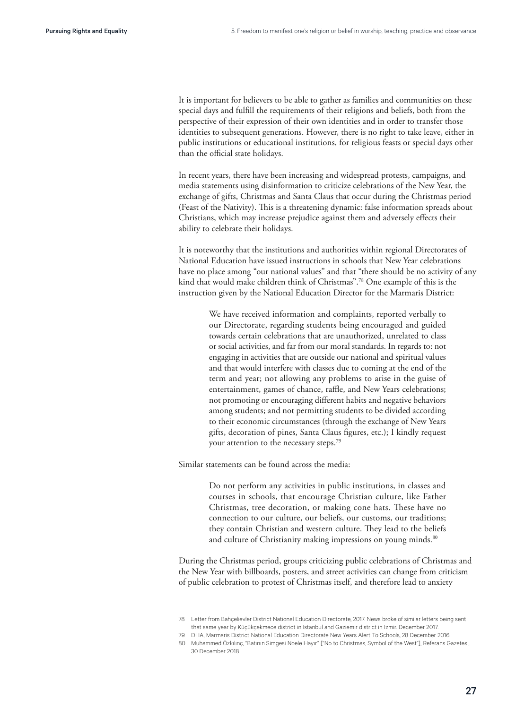It is important for believers to be able to gather as families and communities on these special days and fulfill the requirements of their religions and beliefs, both from the perspective of their expression of their own identities and in order to transfer those identities to subsequent generations. However, there is no right to take leave, either in public institutions or educational institutions, for religious feasts or special days other than the official state holidays.

In recent years, there have been increasing and widespread protests, campaigns, and media statements using disinformation to criticize celebrations of the New Year, the exchange of gifts, Christmas and Santa Claus that occur during the Christmas period (Feast of the Nativity). This is a threatening dynamic: false information spreads about Christians, which may increase prejudice against them and adversely effects their ability to celebrate their holidays.

It is noteworthy that the institutions and authorities within regional Directorates of National Education have issued instructions in schools that New Year celebrations have no place among "our national values" and that "there should be no activity of any kind that would make children think of Christmas".<sup>78</sup> One example of this is the instruction given by the National Education Director for the Marmaris District:

> We have received information and complaints, reported verbally to our Directorate, regarding students being encouraged and guided towards certain celebrations that are unauthorized, unrelated to class or social activities, and far from our moral standards. In regards to: not engaging in activities that are outside our national and spiritual values and that would interfere with classes due to coming at the end of the term and year; not allowing any problems to arise in the guise of entertainment, games of chance, raffle, and New Years celebrations; not promoting or encouraging different habits and negative behaviors among students; and not permitting students to be divided according to their economic circumstances (through the exchange of New Years gifts, decoration of pines, Santa Claus figures, etc.); I kindly request your attention to the necessary steps.79

Similar statements can be found across the media:

Do not perform any activities in public institutions, in classes and courses in schools, that encourage Christian culture, like Father Christmas, tree decoration, or making cone hats. These have no connection to our culture, our beliefs, our customs, our traditions; they contain Christian and western culture. They lead to the beliefs and culture of Christianity making impressions on young minds.<sup>80</sup>

During the Christmas period, groups criticizing public celebrations of Christmas and the New Year with billboards, posters, and street activities can change from criticism of public celebration to protest of Christmas itself, and therefore lead to anxiety

<sup>78</sup> Letter from Bahçelievler District National Education Directorate, 2017. News broke of similar letters being sent that same year by Küçükçekmece district in Istanbul and Gaziemir district in Izmir. December 2017.

<sup>79</sup> DHA, Marmaris District National Education Directorate New Years Alert To Schools, 28 December 2016.

<sup>80</sup> Muhammed Özkılınç, "Batının Simgesi Noele Hayır" ["No to Christmas, Symbol of the West"], Referans Gazetesi, 30 December 2018.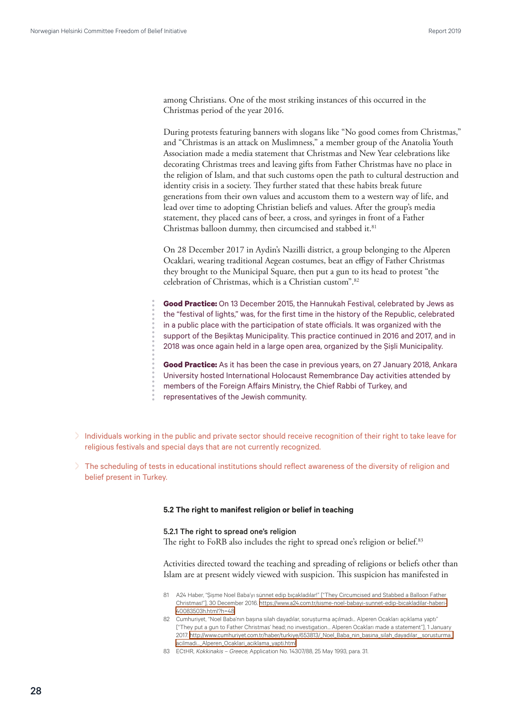<span id="page-27-0"></span>among Christians. One of the most striking instances of this occurred in the Christmas period of the year 2016.

During protests featuring banners with slogans like "No good comes from Christmas," and "Christmas is an attack on Muslimness," a member group of the Anatolia Youth Association made a media statement that Christmas and New Year celebrations like decorating Christmas trees and leaving gifts from Father Christmas have no place in the religion of Islam, and that such customs open the path to cultural destruction and identity crisis in a society. They further stated that these habits break future generations from their own values and accustom them to a western way of life, and lead over time to adopting Christian beliefs and values. After the group's media statement, they placed cans of beer, a cross, and syringes in front of a Father Christmas balloon dummy, then circumcised and stabbed it.<sup>81</sup>

On 28 December 2017 in Aydin's Nazilli district, a group belonging to the Alperen Ocaklari, wearing traditional Aegean costumes, beat an effigy of Father Christmas they brought to the Municipal Square, then put a gun to its head to protest "the celebration of Christmas, which is a Christian custom".<sup>82</sup>

**Good Practice:** On 13 December 2015, the Hannukah Festival, celebrated by Jews as the "festival of lights," was, for the first time in the history of the Republic, celebrated in a public place with the participation of state officials. It was organized with the support of the Beşiktaş Municipality. This practice continued in 2016 and 2017, and in 2018 was once again held in a large open area, organized by the Şişli Municipality.

**Good Practice:** As it has been the case in previous years, on 27 January 2018, Ankara University hosted International Holocaust Remembrance Day activities attended by members of the Foreign Affairs Ministry, the Chief Rabbi of Turkey, and representatives of the Jewish community.

- > Individuals working in the public and private sector should receive recognition of their right to take leave for religious festivals and special days that are not currently recognized.
- > The scheduling of tests in educational institutions should reflect awareness of the diversity of religion and belief present in Turkey.

#### **5.2 The right to manifest religion or belief in teaching**

### 5.2.1 The right to spread one's religion

The right to FoRB also includes the right to spread one's religion or belief.<sup>83</sup>

Activities directed toward the teaching and spreading of religions or beliefs other than Islam are at present widely viewed with suspicion. This suspicion has manifested in

- 81 A24 Haber, "Şişme Noel Baba'yı sünnet edip bıçakladılar!" ["They Circumcised and Stabbed a Balloon Father Christmas!"], 30 December 2016. [https://www.a24.com.tr/sisme-noel-babayi-sunnet-edip-bicakladilar-haberi-](https://www.a24.com.tr/sisme-noel-babayi-sunnet-edip-bicakladilar-haberi-40083503h.html?h=48)[40083503h.html?h=48](https://www.a24.com.tr/sisme-noel-babayi-sunnet-edip-bicakladilar-haberi-40083503h.html?h=48)
- 82 Cumhuriyet, "Noel Baba'nın başına silah dayadılar, soruşturma açılmadı... Alperen Ocakları açıklama yaptı" ["They put a gun to Father Christmas' head; no investigation… Alperen Ocakları made a statement"], 1 January 2017. [http://www.cumhuriyet.com.tr/haber/turkiye/653813/\\_Noel\\_Baba\\_nin\\_basina\\_silah\\_dayadilar\\_\\_sorusturma\\_](http://www.cumhuriyet.com.tr/haber/turkiye/653813/_Noel_Baba_nin_basina_silah_dayadilar__sorusturma_acilmadi..._Alperen_Ocaklari_aciklama_yapti.html) [acilmadi...\\_Alperen\\_Ocaklari\\_aciklama\\_yapti.html](http://www.cumhuriyet.com.tr/haber/turkiye/653813/_Noel_Baba_nin_basina_silah_dayadilar__sorusturma_acilmadi..._Alperen_Ocaklari_aciklama_yapti.html)
- 83 ECtHR, Kokkinakis Greece, Application No. 14307/88, 25 May 1993, para. 31.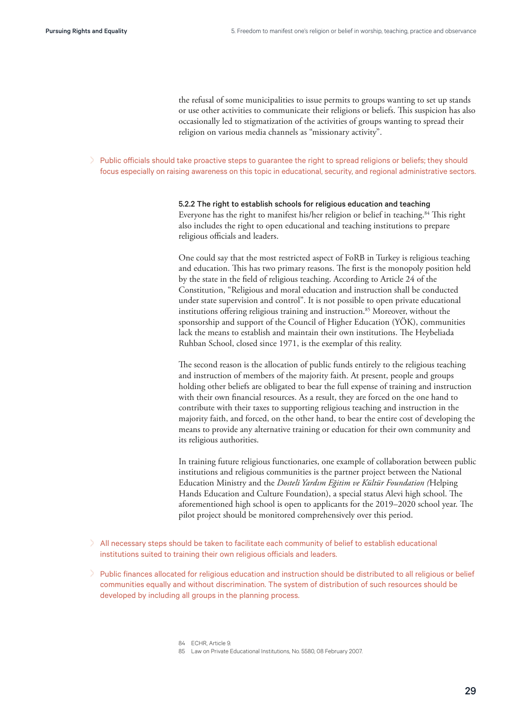the refusal of some municipalities to issue permits to groups wanting to set up stands or use other activities to communicate their religions or beliefs. This suspicion has also occasionally led to stigmatization of the activities of groups wanting to spread their religion on various media channels as "missionary activity".

> Public officials should take proactive steps to quarantee the right to spread religions or beliefs; they should focus especially on raising awareness on this topic in educational, security, and regional administrative sectors.

> 5.2.2 The right to establish schools for religious education and teaching Everyone has the right to manifest his/her religion or belief in teaching.<sup>84</sup> This right also includes the right to open educational and teaching institutions to prepare religious officials and leaders.

One could say that the most restricted aspect of FoRB in Turkey is religious teaching and education. This has two primary reasons. The first is the monopoly position held by the state in the field of religious teaching. According to Article 24 of the Constitution, "Religious and moral education and instruction shall be conducted under state supervision and control". It is not possible to open private educational institutions offering religious training and instruction.<sup>85</sup> Moreover, without the sponsorship and support of the Council of Higher Education (YÖK), communities lack the means to establish and maintain their own institutions. The Heybeliada Ruhban School, closed since 1971, is the exemplar of this reality.

The second reason is the allocation of public funds entirely to the religious teaching and instruction of members of the majority faith. At present, people and groups holding other beliefs are obligated to bear the full expense of training and instruction with their own financial resources. As a result, they are forced on the one hand to contribute with their taxes to supporting religious teaching and instruction in the majority faith, and forced, on the other hand, to bear the entire cost of developing the means to provide any alternative training or education for their own community and its religious authorities.

In training future religious functionaries, one example of collaboration between public institutions and religious communities is the partner project between the National Education Ministry and the *Dosteli Yardım Eğitim ve Kültür Foundation (*Helping Hands Education and Culture Foundation), a special status Alevi high school. The aforementioned high school is open to applicants for the 2019–2020 school year. The pilot project should be monitored comprehensively over this period.

- > All necessary steps should be taken to facilitate each community of belief to establish educational institutions suited to training their own religious officials and leaders.
- > Public finances allocated for religious education and instruction should be distributed to all religious or belief communities equally and without discrimination. The system of distribution of such resources should be developed by including all groups in the planning process.

84 ECHR, Article 9.

<sup>85</sup> Law on Private Educational Institutions, No. 5580, 08 February 2007.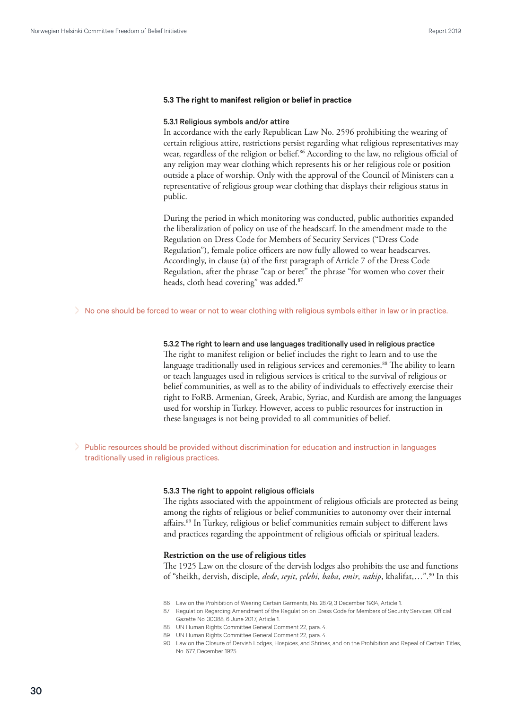#### <span id="page-29-0"></span>**5.3 The right to manifest religion or belief in practice**

#### 5.3.1 Religious symbols and/or attire

In accordance with the early Republican Law No. 2596 prohibiting the wearing of certain religious attire, restrictions persist regarding what religious representatives may wear, regardless of the religion or belief.<sup>86</sup> According to the law, no religious official of any religion may wear clothing which represents his or her religious role or position outside a place of worship. Only with the approval of the Council of Ministers can a representative of religious group wear clothing that displays their religious status in public.

During the period in which monitoring was conducted, public authorities expanded the liberalization of policy on use of the headscarf. In the amendment made to the Regulation on Dress Code for Members of Security Services ("Dress Code Regulation"), female police officers are now fully allowed to wear headscarves. Accordingly, in clause (a) of the first paragraph of Article 7 of the Dress Code Regulation, after the phrase "cap or beret" the phrase "for women who cover their heads, cloth head covering" was added.<sup>87</sup>

> No one should be forced to wear or not to wear clothing with religious symbols either in law or in practice.

#### 5.3.2 The right to learn and use languages traditionally used in religious practice

The right to manifest religion or belief includes the right to learn and to use the language traditionally used in religious services and ceremonies.<sup>88</sup> The ability to learn or teach languages used in religious services is critical to the survival of religious or belief communities, as well as to the ability of individuals to effectively exercise their right to FoRB. Armenian, Greek, Arabic, Syriac, and Kurdish are among the languages used for worship in Turkey. However, access to public resources for instruction in these languages is not being provided to all communities of belief.

> Public resources should be provided without discrimination for education and instruction in languages traditionally used in religious practices.

#### 5.3.3 The right to appoint religious officials

The rights associated with the appointment of religious officials are protected as being among the rights of religious or belief communities to autonomy over their internal affairs.89 In Turkey, religious or belief communities remain subject to different laws and practices regarding the appointment of religious officials or spiritual leaders.

#### **Restriction on the use of religious titles**

The 1925 Law on the closure of the dervish lodges also prohibits the use and functions of "sheikh, dervish, disciple, *dede*, *seyit*, *çelebi*, *baba*, *emir*, *nakip*, khalifat,…".90 In this

- 86 Law on the Prohibition of Wearing Certain Garments, No. 2879, 3 December 1934, Article 1.
- 87 Regulation Regarding Amendment of the Regulation on Dress Code for Members of Security Services, Official Gazette No. 30088, 6 June 2017, Article 1.
- 88 UN Human Rights Committee General Comment 22, para. 4.
- 89 UN Human Rights Committee General Comment 22, para. 4.
- 90 Law on the Closure of Dervish Lodges, Hospices, and Shrines, and on the Prohibition and Repeal of Certain Titles, No. 677, December 1925.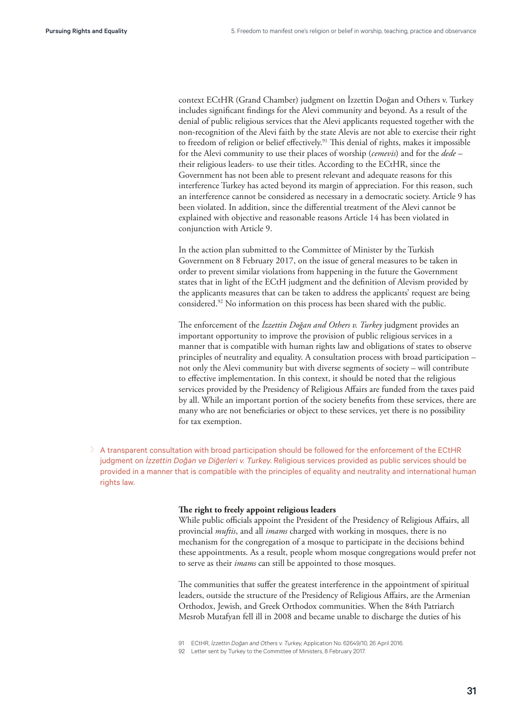context ECtHR (Grand Chamber) judgment on İzzettin Doğan and Others v. Turkey includes significant findings for the Alevi community and beyond. As a result of the denial of public religious services that the Alevi applicants requested together with the non-recognition of the Alevi faith by the state Alevis are not able to exercise their right to freedom of religion or belief effectively.<sup>91</sup> This denial of rights, makes it impossible for the Alevi community to use their places of worship (*cemevis*) and for the *dede* – their religious leaders- to use their titles. According to the ECtHR, since the Government has not been able to present relevant and adequate reasons for this interference Turkey has acted beyond its margin of appreciation. For this reason, such an interference cannot be considered as necessary in a democratic society. Article 9 has been violated. In addition, since the differential treatment of the Alevi cannot be explained with objective and reasonable reasons Article 14 has been violated in conjunction with Article 9.

In the action plan submitted to the Committee of Minister by the Turkish Government on 8 February 2017, on the issue of general measures to be taken in order to prevent similar violations from happening in the future the Government states that in light of the ECtH judgment and the definition of Alevism provided by the applicants measures that can be taken to address the applicants' request are being considered.92 No information on this process has been shared with the public.

The enforcement of the *İzzettin Doğan and Others v. Turkey* judgment provides an important opportunity to improve the provision of public religious services in a manner that is compatible with human rights law and obligations of states to observe principles of neutrality and equality. A consultation process with broad participation – not only the Alevi community but with diverse segments of society – will contribute to effective implementation. In this context, it should be noted that the religious services provided by the Presidency of Religious Affairs are funded from the taxes paid by all. While an important portion of the society benefits from these services, there are many who are not beneficiaries or object to these services, yet there is no possibility for tax exemption.

> A transparent consultation with broad participation should be followed for the enforcement of the ECtHR judgment on *İzzettin Doğan ve Diğerleri v. Turkey*. Religious services provided as public services should be provided in a manner that is compatible with the principles of equality and neutrality and international human rights law.

#### **The right to freely appoint religious leaders**

While public officials appoint the President of the Presidency of Religious Affairs, all provincial *muftis*, and all *imams* charged with working in mosques, there is no mechanism for the congregation of a mosque to participate in the decisions behind these appointments. As a result, people whom mosque congregations would prefer not to serve as their *imams* can still be appointed to those mosques.

The communities that suffer the greatest interference in the appointment of spiritual leaders, outside the structure of the Presidency of Religious Affairs, are the Armenian Orthodox, Jewish, and Greek Orthodox communities. When the 84th Patriarch Mesrob Mutafyan fell ill in 2008 and became unable to discharge the duties of his

<sup>91</sup> ECtHR, İzzettin Doğan and Others v. Turkey, Application No. 62649/10, 26 April 2016.

<sup>92</sup> Letter sent by Turkey to the Committee of Ministers, 8 February 2017.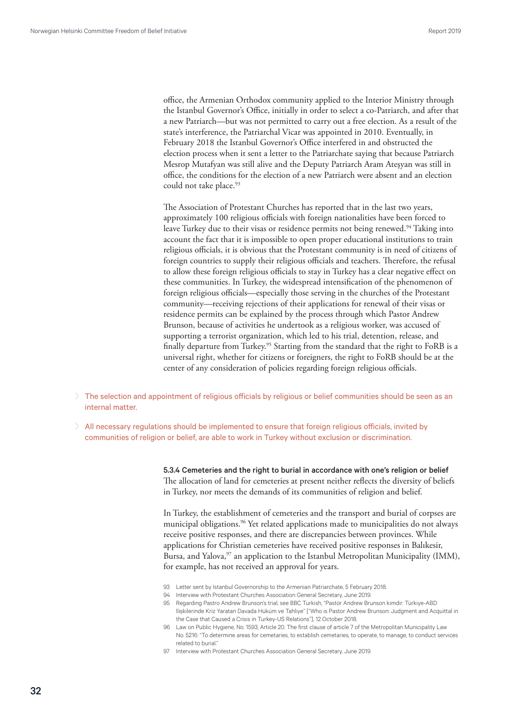office, the Armenian Orthodox community applied to the Interior Ministry through the Istanbul Governor's Office, initially in order to select a co-Patriarch, and after that a new Patriarch—but was not permitted to carry out a free election. As a result of the state's interference, the Patriarchal Vicar was appointed in 2010. Eventually, in February 2018 the Istanbul Governor's Office interfered in and obstructed the election process when it sent a letter to the Patriarchate saying that because Patriarch Mesrop Mutafyan was still alive and the Deputy Patriarch Aram Ateşyan was still in office, the conditions for the election of a new Patriarch were absent and an election could not take place.<sup>93</sup>

The Association of Protestant Churches has reported that in the last two years, approximately 100 religious officials with foreign nationalities have been forced to leave Turkey due to their visas or residence permits not being renewed.<sup>94</sup> Taking into account the fact that it is impossible to open proper educational institutions to train religious officials, it is obvious that the Protestant community is in need of citizens of foreign countries to supply their religious officials and teachers. Therefore, the refusal to allow these foreign religious officials to stay in Turkey has a clear negative effect on these communities. In Turkey, the widespread intensification of the phenomenon of foreign religious officials—especially those serving in the churches of the Protestant community—receiving rejections of their applications for renewal of their visas or residence permits can be explained by the process through which Pastor Andrew Brunson, because of activities he undertook as a religious worker, was accused of supporting a terrorist organization, which led to his trial, detention, release, and finally departure from Turkey.<sup>95</sup> Starting from the standard that the right to FoRB is a universal right, whether for citizens or foreigners, the right to FoRB should be at the center of any consideration of policies regarding foreign religious officials.

- > The selection and appointment of religious officials by religious or belief communities should be seen as an internal matter.
- > All necessary regulations should be implemented to ensure that foreign religious officials, invited by communities of religion or belief, are able to work in Turkey without exclusion or discrimination.

5.3.4 Cemeteries and the right to burial in accordance with one's religion or belief The allocation of land for cemeteries at present neither reflects the diversity of beliefs in Turkey, nor meets the demands of its communities of religion and belief.

In Turkey, the establishment of cemeteries and the transport and burial of corpses are municipal obligations.<sup>96</sup> Yet related applications made to municipalities do not always receive positive responses, and there are discrepancies between provinces. While applications for Christian cemeteries have received positive responses in Balıkesir, Bursa, and Yalova,<sup>97</sup> an application to the Istanbul Metropolitan Municipality (IMM), for example, has not received an approval for years.

- 93 Letter sent by Istanbul Governorship to the Armenian Patriarchate, 5 February 2018.
- 94 Interview with Protestant Churches Association General Secretary, June 2019.
- 95 Regarding Pastro Andrew Brunson's trial, see BBC Turkish, "Pastör Andrew Brunson kimdir: Türkiye-ABD İlişkilerinde Kriz Yaratan Davada Hüküm ve Tahliye" ["Who is Pastor Andrew Brunson: Judgment and Acquittal in the Case that Caused a Crisis in Turkey-US Relations"], 12 October 2018.
- 96 Law on Public Hygiene, No. 1593, Article 20. The first clause of article 7 of the Metropolitan Municipality Law No. 5216: "To determine areas for cemetaries, to establish cemetaries, to operate, to manage, to conduct services related to burial."
- 97 Interview with Protestant Churches Association General Secretary, June 2019.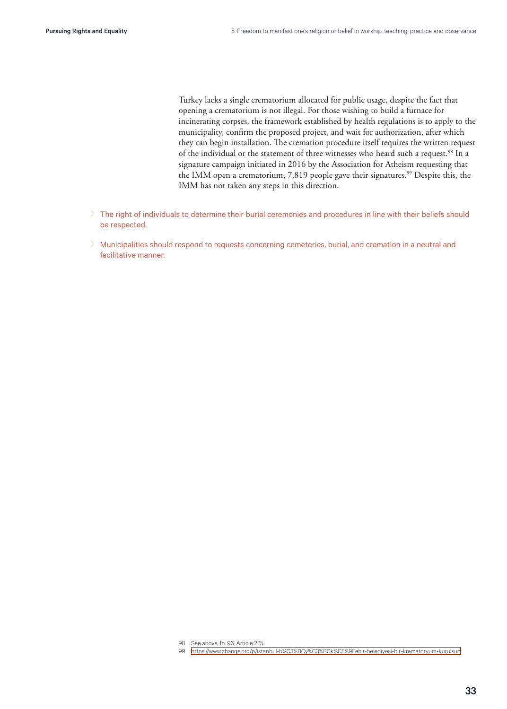Turkey lacks a single crematorium allocated for public usage, despite the fact that opening a crematorium is not illegal. For those wishing to build a furnace for incinerating corpses, the framework established by health regulations is to apply to the municipality, confirm the proposed project, and wait for authorization, after which they can begin installation. The cremation procedure itself requires the written request of the individual or the statement of three witnesses who heard such a request.<sup>98</sup> In a signature campaign initiated in 2016 by the Association for Atheism requesting that the IMM open a crematorium, 7,819 people gave their signatures.<sup>99</sup> Despite this, the IMM has not taken any steps in this direction.

- > The right of individuals to determine their burial ceremonies and procedures in line with their beliefs should be respected.
- > Municipalities should respond to requests concerning cemeteries, burial, and cremation in a neutral and facilitative manner.

- 98 See above, fn. 96, Article 225.
- 99 <https://www.change.org/p/istanbul-b%C3%BCy%C3%BCk%C5%9Fehir-belediyesi-bir-krematoryum-kurulsun>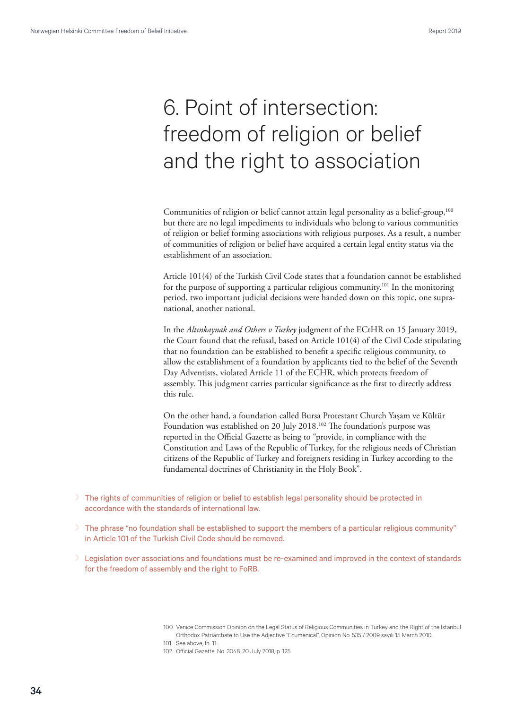# <span id="page-33-0"></span>6. Point of intersection: freedom of religion or belief and the right to association

Communities of religion or belief cannot attain legal personality as a belief-group,<sup>100</sup> but there are no legal impediments to individuals who belong to various communities of religion or belief forming associations with religious purposes. As a result, a number of communities of religion or belief have acquired a certain legal entity status via the establishment of an association.

Article 101(4) of the Turkish Civil Code states that a foundation cannot be established for the purpose of supporting a particular religious community.<sup>101</sup> In the monitoring period, two important judicial decisions were handed down on this topic, one supranational, another national.

In the *Altınkaynak and Others v Turkey* judgment of the ECtHR on 15 January 2019, the Court found that the refusal, based on Article 101(4) of the Civil Code stipulating that no foundation can be established to benefit a specific religious community, to allow the establishment of a foundation by applicants tied to the belief of the Seventh Day Adventists, violated Article 11 of the ECHR, which protects freedom of assembly. This judgment carries particular significance as the first to directly address this rule.

On the other hand, a foundation called Bursa Protestant Church Yaşam ve Kültür Foundation was established on 20 July 2018.<sup>102</sup> The foundation's purpose was reported in the Official Gazette as being to "provide, in compliance with the Constitution and Laws of the Republic of Turkey, for the religious needs of Christian citizens of the Republic of Turkey and foreigners residing in Turkey according to the fundamental doctrines of Christianity in the Holy Book".

- > The rights of communities of religion or belief to establish legal personality should be protected in accordance with the standards of international law.
- > The phrase "no foundation shall be established to support the members of a particular religious community" in Article 101 of the Turkish Civil Code should be removed.
- > Legislation over associations and foundations must be re-examined and improved in the context of standards for the freedom of assembly and the right to FoRB.

<sup>100</sup> Venice Commission Opinion on the Legal Status of Religious Communities in Turkey and the Right of the Istanbul Orthodox Patriarchate to Use the Adjective "Ecumenical", Opinion No. 535 / 2009 sayılı 15 March 2010.

<sup>101</sup> See above, fn. 11.

<sup>102</sup> Official Gazette, No. 3048, 20 July 2018, p. 125.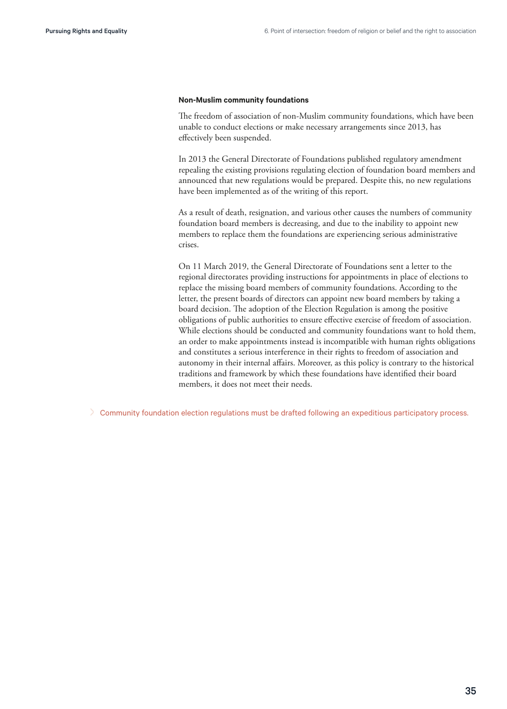#### <span id="page-34-0"></span>**Non-Muslim community foundations**

The freedom of association of non-Muslim community foundations, which have been unable to conduct elections or make necessary arrangements since 2013, has effectively been suspended.

In 2013 the General Directorate of Foundations published regulatory amendment repealing the existing provisions regulating election of foundation board members and announced that new regulations would be prepared. Despite this, no new regulations have been implemented as of the writing of this report.

As a result of death, resignation, and various other causes the numbers of community foundation board members is decreasing, and due to the inability to appoint new members to replace them the foundations are experiencing serious administrative crises.

On 11 March 2019, the General Directorate of Foundations sent a letter to the regional directorates providing instructions for appointments in place of elections to replace the missing board members of community foundations. According to the letter, the present boards of directors can appoint new board members by taking a board decision. The adoption of the Election Regulation is among the positive obligations of public authorities to ensure effective exercise of freedom of association. While elections should be conducted and community foundations want to hold them, an order to make appointments instead is incompatible with human rights obligations and constitutes a serious interference in their rights to freedom of association and autonomy in their internal affairs. Moreover, as this policy is contrary to the historical traditions and framework by which these foundations have identified their board members, it does not meet their needs.

> Community foundation election regulations must be drafted following an expeditious participatory process.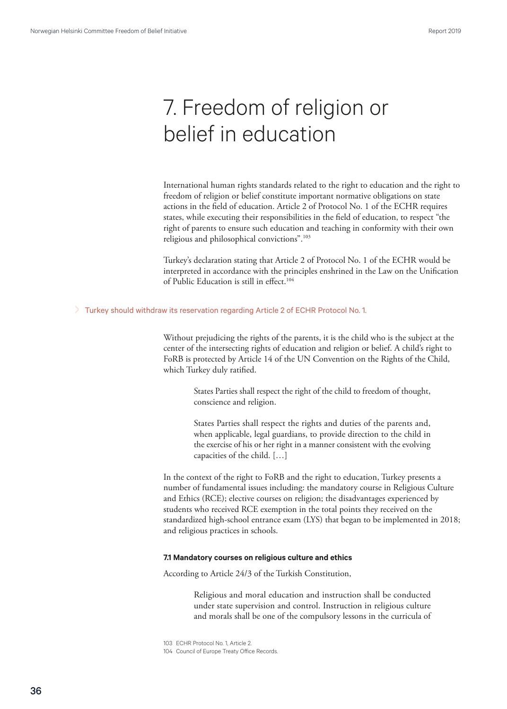## <span id="page-35-0"></span>7. Freedom of religion or belief in education

International human rights standards related to the right to education and the right to freedom of religion or belief constitute important normative obligations on state actions in the field of education. Article 2 of Protocol No. 1 of the ECHR requires states, while executing their responsibilities in the field of education, to respect "the right of parents to ensure such education and teaching in conformity with their own religious and philosophical convictions".<sup>103</sup>

Turkey's declaration stating that Article 2 of Protocol No. 1 of the ECHR would be interpreted in accordance with the principles enshrined in the Law on the Unification of Public Education is still in effect.<sup>104</sup>

#### > Turkey should withdraw its reservation regarding Article 2 of ECHR Protocol No. 1.

Without prejudicing the rights of the parents, it is the child who is the subject at the center of the intersecting rights of education and religion or belief. A child's right to FoRB is protected by Article 14 of the UN Convention on the Rights of the Child, which Turkey duly ratified.

> States Parties shall respect the right of the child to freedom of thought, conscience and religion.

> States Parties shall respect the rights and duties of the parents and, when applicable, legal guardians, to provide direction to the child in the exercise of his or her right in a manner consistent with the evolving capacities of the child. […]

In the context of the right to FoRB and the right to education, Turkey presents a number of fundamental issues including: the mandatory course in Religious Culture and Ethics (RCE); elective courses on religion; the disadvantages experienced by students who received RCE exemption in the total points they received on the standardized high-school entrance exam (LYS) that began to be implemented in 2018; and religious practices in schools.

#### **7.1 Mandatory courses on religious culture and ethics**

According to Article 24/3 of the Turkish Constitution,

Religious and moral education and instruction shall be conducted under state supervision and control. Instruction in religious culture and morals shall be one of the compulsory lessons in the curricula of

103 ECHR Protocol No. 1, Article 2.

104 Council of Europe Treaty Office Records.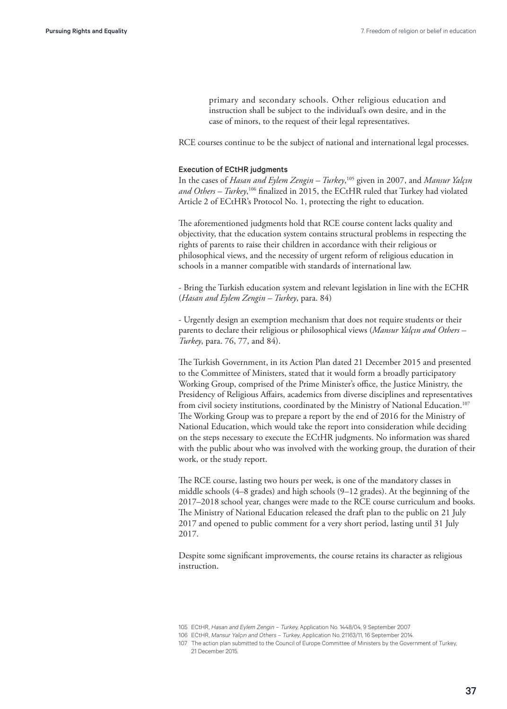primary and secondary schools. Other religious education and instruction shall be subject to the individual's own desire, and in the case of minors, to the request of their legal representatives.

RCE courses continue to be the subject of national and international legal processes.

#### Execution of ECtHR judgments

In the cases of *Hasan and Eylem Zengin – Turkey*, 105 given in 2007, and *Mansur Yalçın and Others – Turkey*, 106 finalized in 2015, the ECtHR ruled that Turkey had violated Article 2 of ECtHR's Protocol No. 1, protecting the right to education.

The aforementioned judgments hold that RCE course content lacks quality and objectivity, that the education system contains structural problems in respecting the rights of parents to raise their children in accordance with their religious or philosophical views, and the necessity of urgent reform of religious education in schools in a manner compatible with standards of international law.

- Bring the Turkish education system and relevant legislation in line with the ECHR (*Hasan and Eylem Zengin – Turkey*, para. 84)

- Urgently design an exemption mechanism that does not require students or their parents to declare their religious or philosophical views (*Mansur Yalçın and Others – Turkey*, para. 76, 77, and 84).

The Turkish Government, in its Action Plan dated 21 December 2015 and presented to the Committee of Ministers, stated that it would form a broadly participatory Working Group, comprised of the Prime Minister's office, the Justice Ministry, the Presidency of Religious Affairs, academics from diverse disciplines and representatives from civil society institutions, coordinated by the Ministry of National Education.<sup>107</sup> The Working Group was to prepare a report by the end of 2016 for the Ministry of National Education, which would take the report into consideration while deciding on the steps necessary to execute the ECtHR judgments. No information was shared with the public about who was involved with the working group, the duration of their work, or the study report.

The RCE course, lasting two hours per week, is one of the mandatory classes in middle schools (4–8 grades) and high schools (9–12 grades). At the beginning of the 2017–2018 school year, changes were made to the RCE course curriculum and books. The Ministry of National Education released the draft plan to the public on 21 July 2017 and opened to public comment for a very short period, lasting until 31 July 2017.

Despite some significant improvements, the course retains its character as religious instruction.

<sup>105</sup> ECtHR, Hasan and Eylem Zengin – Turkey, Application No. 1448/04, 9 September 2007

<sup>106</sup> ECtHR, Mansur Yalçın and Others – Turkey, Application No. 21163/11, 16 September 2014.

<sup>107</sup> The action plan submitted to the Council of Europe Committee of Ministers by the Government of Turkey, 21 December 2015.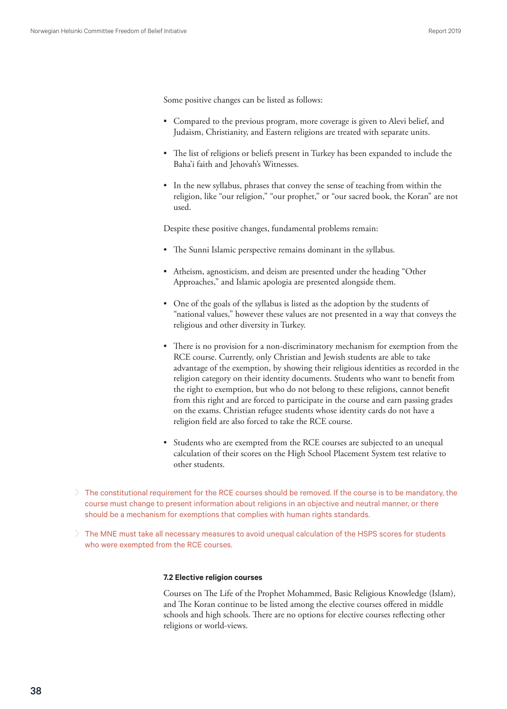<span id="page-37-0"></span>Some positive changes can be listed as follows:

- Compared to the previous program, more coverage is given to Alevi belief, and Judaism, Christianity, and Eastern religions are treated with separate units.
- The list of religions or beliefs present in Turkey has been expanded to include the Baha'i faith and Jehovah's Witnesses.
- In the new syllabus, phrases that convey the sense of teaching from within the religion, like "our religion," "our prophet," or "our sacred book, the Koran" are not used.

Despite these positive changes, fundamental problems remain:

- The Sunni Islamic perspective remains dominant in the syllabus.
- Atheism, agnosticism, and deism are presented under the heading "Other Approaches," and Islamic apologia are presented alongside them.
- One of the goals of the syllabus is listed as the adoption by the students of "national values," however these values are not presented in a way that conveys the religious and other diversity in Turkey.
- There is no provision for a non-discriminatory mechanism for exemption from the RCE course. Currently, only Christian and Jewish students are able to take advantage of the exemption, by showing their religious identities as recorded in the religion category on their identity documents. Students who want to benefit from the right to exemption, but who do not belong to these religions, cannot benefit from this right and are forced to participate in the course and earn passing grades on the exams. Christian refugee students whose identity cards do not have a religion field are also forced to take the RCE course.
- Students who are exempted from the RCE courses are subjected to an unequal calculation of their scores on the High School Placement System test relative to other students.
- > The constitutional requirement for the RCE courses should be removed. If the course is to be mandatory, the course must change to present information about religions in an objective and neutral manner, or there should be a mechanism for exemptions that complies with human rights standards.
- > The MNE must take all necessary measures to avoid unequal calculation of the HSPS scores for students who were exempted from the RCE courses.

#### **7.2 Elective religion courses**

Courses on The Life of the Prophet Mohammed, Basic Religious Knowledge (Islam), and The Koran continue to be listed among the elective courses offered in middle schools and high schools. There are no options for elective courses reflecting other religions or world-views.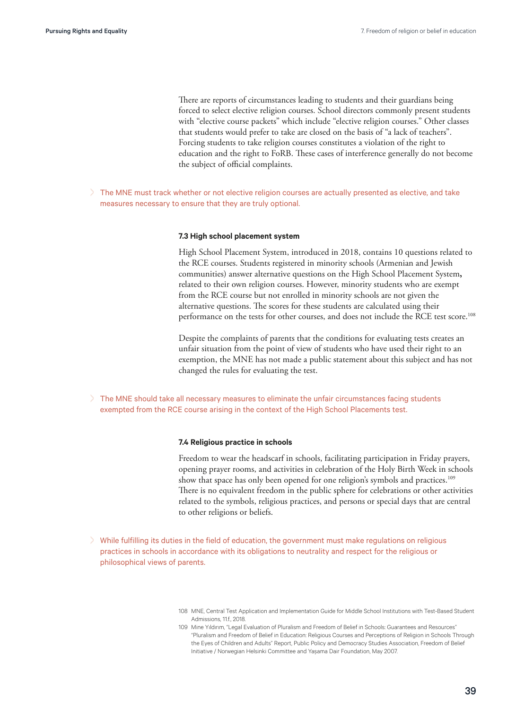<span id="page-38-0"></span>There are reports of circumstances leading to students and their guardians being forced to select elective religion courses. School directors commonly present students with "elective course packets" which include "elective religion courses." Other classes that students would prefer to take are closed on the basis of "a lack of teachers". Forcing students to take religion courses constitutes a violation of the right to education and the right to FoRB. These cases of interference generally do not become the subject of official complaints.

> The MNE must track whether or not elective religion courses are actually presented as elective, and take measures necessary to ensure that they are truly optional.

#### **7.3 High school placement system**

High School Placement System, introduced in 2018, contains 10 questions related to the RCE courses. Students registered in minority schools (Armenian and Jewish communities) answer alternative questions on the High School Placement System**,** related to their own religion courses. However, minority students who are exempt from the RCE course but not enrolled in minority schools are not given the alternative questions. The scores for these students are calculated using their performance on the tests for other courses, and does not include the RCE test score.<sup>108</sup>

Despite the complaints of parents that the conditions for evaluating tests creates an unfair situation from the point of view of students who have used their right to an exemption, the MNE has not made a public statement about this subject and has not changed the rules for evaluating the test.

> The MNE should take all necessary measures to eliminate the unfair circumstances facing students exempted from the RCE course arising in the context of the High School Placements test.

#### **7.4 Religious practice in schools**

Freedom to wear the headscarf in schools, facilitating participation in Friday prayers, opening prayer rooms, and activities in celebration of the Holy Birth Week in schools show that space has only been opened for one religion's symbols and practices.<sup>109</sup> There is no equivalent freedom in the public sphere for celebrations or other activities related to the symbols, religious practices, and persons or special days that are central to other religions or beliefs.

> While fulfilling its duties in the field of education, the government must make regulations on religious practices in schools in accordance with its obligations to neutrality and respect for the religious or philosophical views of parents.

<sup>108</sup> MNE, Central Test Application and Implementation Guide for Middle School Institutions with Test-Based Student Admissions, 11.f., 2018.

<sup>109</sup> Mine Yıldırım, "Legal Evaluation of Pluralism and Freedom of Belief in Schools: Guarantees and Resources" "Pluralism and Freedom of Belief in Education: Religious Courses and Perceptions of Religion in Schools Through the Eyes of Children and Adults" Report, Public Policy and Democracy Studies Association, Freedom of Belief Initiative / Norwegian Helsinki Committee and Yaşama Dair Foundation, May 2007.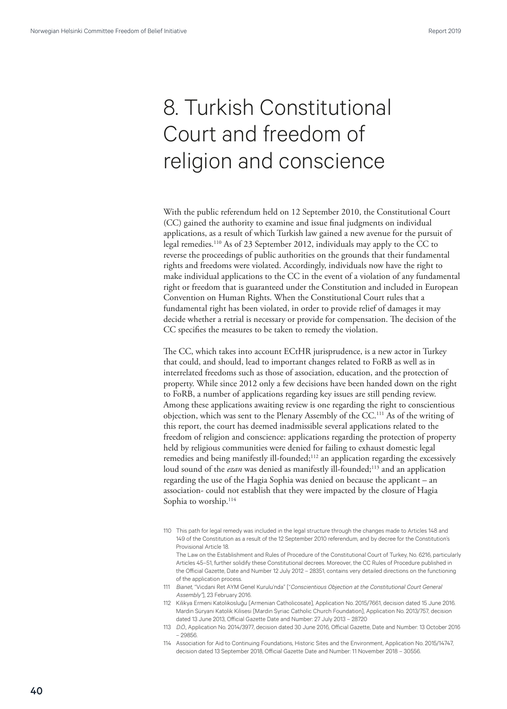# <span id="page-39-0"></span>8. Turkish Constitutional Court and freedom of religion and conscience

With the public referendum held on 12 September 2010, the Constitutional Court (CC) gained the authority to examine and issue final judgments on individual applications, as a result of which Turkish law gained a new avenue for the pursuit of legal remedies.110 As of 23 September 2012, individuals may apply to the CC to reverse the proceedings of public authorities on the grounds that their fundamental rights and freedoms were violated. Accordingly, individuals now have the right to make individual applications to the CC in the event of a violation of any fundamental right or freedom that is guaranteed under the Constitution and included in European Convention on Human Rights. When the Constitutional Court rules that a fundamental right has been violated, in order to provide relief of damages it may decide whether a retrial is necessary or provide for compensation. The decision of the CC specifies the measures to be taken to remedy the violation.

The CC, which takes into account ECtHR jurisprudence, is a new actor in Turkey that could, and should, lead to important changes related to FoRB as well as in interrelated freedoms such as those of association, education, and the protection of property. While since 2012 only a few decisions have been handed down on the right to FoRB, a number of applications regarding key issues are still pending review. Among these applications awaiting review is one regarding the right to conscientious objection, which was sent to the Plenary Assembly of the CC.111 As of the writing of this report, the court has deemed inadmissible several applications related to the freedom of religion and conscience: applications regarding the protection of property held by religious communities were denied for failing to exhaust domestic legal remedies and being manifestly ill-founded;<sup>112</sup> an application regarding the excessively loud sound of the *ezan* was denied as manifestly ill-founded;<sup>113</sup> and an application regarding the use of the Hagia Sophia was denied on because the applicant – an association- could not establish that they were impacted by the closure of Hagia Sophia to worship.<sup>114</sup>

110 This path for legal remedy was included in the legal structure through the changes made to Articles 148 and 149 of the Constitution as a result of the 12 September 2010 referendum, and by decree for the Constitution's Provisional Article 18.

The Law on the Establishment and Rules of Procedure of the Constitutional Court of Turkey, No. 6216, particularly Articles 45–51, further solidify these Constitutional decrees. Moreover, the CC Rules of Procedure published in the Official Gazette, Date and Number 12 July 2012 – 28351, contains very detailed directions on the functioning of the application process.

- 111 Bianet, "Vicdani Ret AYM Genel Kurulu'nda" ["Conscientious Objection at the Constitutional Court General Assembly"], 23 February 2016.
- 112 Kilikya Ermeni Katolikosluğu [Armenian Catholicosate], Application No. 2015/7661, decision dated 15 June 2016. Mardin Süryani Katolik Kilisesi [Mardin Syriac Catholic Church Foundation], Application No. 2013/757, decision dated 13 June 2013, Official Gazette Date and Number: 27 July 2013 – 28720
- 113 D.Ö., Application No. 2014/3977, decision dated 30 June 2016, Official Gazette, Date and Number: 13 October 2016 – 29856.
- 114 Association for Aid to Continuing Foundations, Historic Sites and the Environment, Application No. 2015/14747, decision dated 13 September 2018, Official Gazette Date and Number: 11 November 2018 – 30556.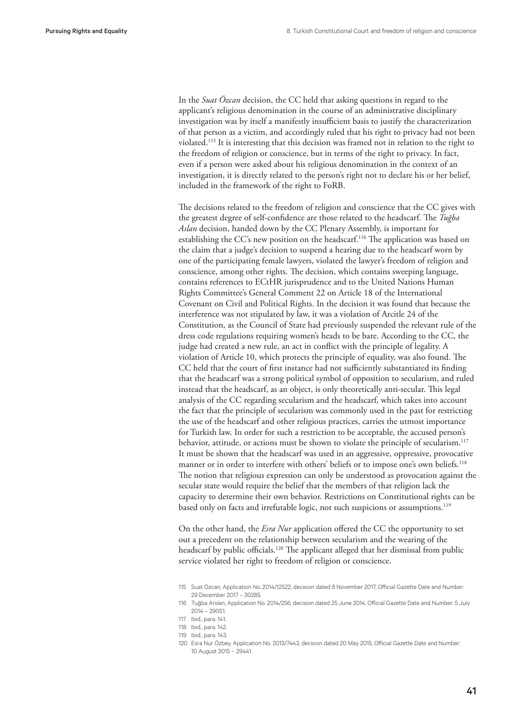In the *Suat Özcan* decision, the CC held that asking questions in regard to the applicant's religious denomination in the course of an administrative disciplinary investigation was by itself a manifestly insufficient basis to justify the characterization of that person as a victim, and accordingly ruled that his right to privacy had not been violated.115 It is interesting that this decision was framed not in relation to the right to the freedom of religion or conscience, but in terms of the right to privacy. In fact, even if a person were asked about his religious denomination in the context of an investigation, it is directly related to the person's right not to declare his or her belief, included in the framework of the right to FoRB.

The decisions related to the freedom of religion and conscience that the CC gives with the greatest degree of self-confidence are those related to the headscarf. The *Tuğba Aslan* decision, handed down by the CC Plenary Assembly, is important for establishing the CC's new position on the headscarf.<sup>116</sup> The application was based on the claim that a judge's decision to suspend a hearing due to the headscarf worn by one of the participating female lawyers, violated the lawyer's freedom of religion and conscience, among other rights. The decision, which contains sweeping language, contains references to ECtHR jurisprudence and to the United Nations Human Rights Committee's General Comment 22 on Article 18 of the International Covenant on Civil and Political Rights. In the decision it was found that because the interference was not stipulated by law, it was a violation of Arcitle 24 of the Constitution, as the Council of State had previously suspended the relevant rule of the dress code regulations requiring women's heads to be bare. According to the CC, the judge had created a new rule, an act in conflict with the principle of legality. A violation of Article 10, which protects the principle of equality, was also found. The CC held that the court of first instance had not sufficiently substantiated its finding that the headscarf was a strong political symbol of opposition to secularism, and ruled instead that the headscarf, as an object, is only theoretically anti-secular. This legal analysis of the CC regarding secularism and the headscarf, which takes into account the fact that the principle of secularism was commonly used in the past for restricting the use of the headscarf and other religious practices, carries the utmost importance for Turkish law. In order for such a restriction to be acceptable, the accused person's behavior, attitude, or actions must be shown to violate the principle of secularism.<sup>117</sup> It must be shown that the headscarf was used in an aggressive, oppressive, provocative manner or in order to interfere with others' beliefs or to impose one's own beliefs.<sup>118</sup> The notion that religious expression can only be understood as provocation against the secular state would require the belief that the members of that religion lack the capacity to determine their own behavior. Restrictions on Constitutional rights can be based only on facts and irrefutable logic, not such suspicions or assumptions.<sup>119</sup>

On the other hand, the *Esra Nur* application offered the CC the opportunity to set out a precedent on the relationship between secularism and the wearing of the headscarf by public officials.<sup>120</sup> The applicant alleged that her dismissal from public service violated her right to freedom of religion or conscience.

<sup>115</sup> Suat Özcan, Application No. 2014/12522, decision dated 8 November 2017, Official Gazette Date and Number: 29 December 2017 – 30285.

<sup>116</sup> Tuğba Arslan, Application No. 2014/256, decision dated 25 June 2014, Official Gazette Date and Number: 5 July 2014 – 29051.

<sup>117</sup> Ibid., para. 141.

<sup>118</sup> Ibid., para. 142.

<sup>119</sup> Ibid., para. 143.

<sup>120</sup> Esra Nur Özbey, Application No. 2013/7443, decision dated 20 May 2015, Official Gazette Date and Number: 10 August 2015 – 29441.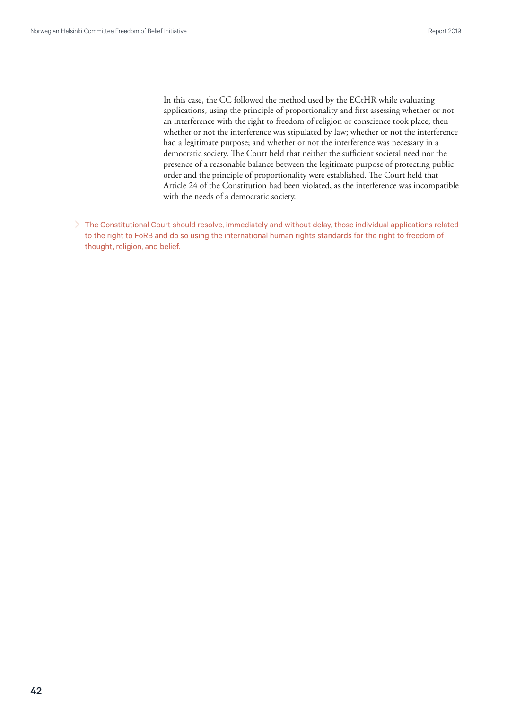In this case, the CC followed the method used by the ECtHR while evaluating applications, using the principle of proportionality and first assessing whether or not an interference with the right to freedom of religion or conscience took place; then whether or not the interference was stipulated by law; whether or not the interference had a legitimate purpose; and whether or not the interference was necessary in a democratic society. The Court held that neither the sufficient societal need nor the presence of a reasonable balance between the legitimate purpose of protecting public order and the principle of proportionality were established. The Court held that Article 24 of the Constitution had been violated, as the interference was incompatible with the needs of a democratic society.

> The Constitutional Court should resolve, immediately and without delay, those individual applications related to the right to FoRB and do so using the international human rights standards for the right to freedom of thought, religion, and belief.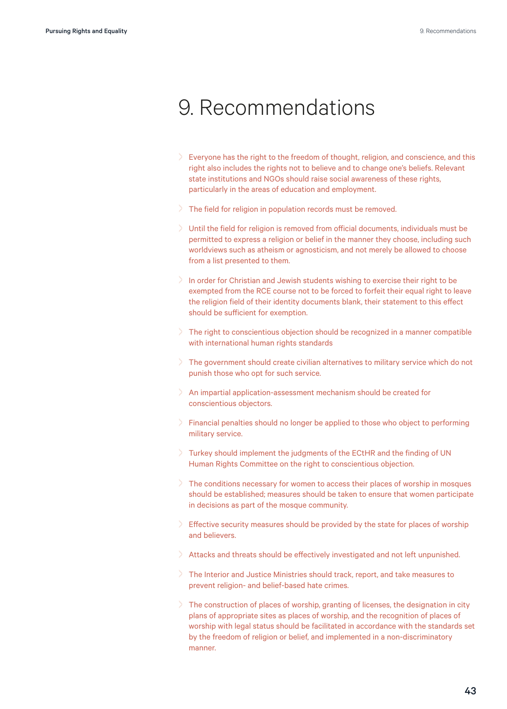## <span id="page-42-0"></span>9. Recommendations

- > Everyone has the right to the freedom of thought, religion, and conscience, and this right also includes the rights not to believe and to change one's beliefs. Relevant state institutions and NGOs should raise social awareness of these rights, particularly in the areas of education and employment.
- > The field for religion in population records must be removed.
- > Until the field for religion is removed from official documents, individuals must be permitted to express a religion or belief in the manner they choose, including such worldviews such as atheism or agnosticism, and not merely be allowed to choose from a list presented to them.
- > In order for Christian and Jewish students wishing to exercise their right to be exempted from the RCE course not to be forced to forfeit their equal right to leave the religion field of their identity documents blank, their statement to this effect should be sufficient for exemption.
- > The right to conscientious objection should be recognized in a manner compatible with international human rights standards
- > The government should create civilian alternatives to military service which do not punish those who opt for such service.
- > An impartial application-assessment mechanism should be created for conscientious objectors.
- > Financial penalties should no longer be applied to those who object to performing military service.
- > Turkey should implement the judgments of the ECtHR and the finding of UN Human Rights Committee on the right to conscientious objection.
- > The conditions necessary for women to access their places of worship in mosques should be established; measures should be taken to ensure that women participate in decisions as part of the mosque community.
- $\geq$  Effective security measures should be provided by the state for places of worship and believers.
- > Attacks and threats should be effectively investigated and not left unpunished.
- > The Interior and Justice Ministries should track, report, and take measures to prevent religion- and belief-based hate crimes.
- > The construction of places of worship, granting of licenses, the designation in city plans of appropriate sites as places of worship, and the recognition of places of worship with legal status should be facilitated in accordance with the standards set by the freedom of religion or belief, and implemented in a non-discriminatory manner.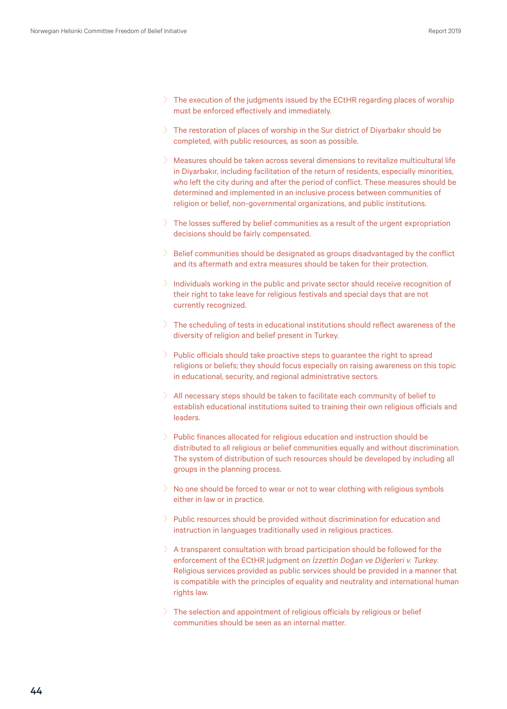- > The execution of the judgments issued by the ECtHR regarding places of worship must be enforced effectively and immediately.
- > The restoration of places of worship in the Sur district of Diyarbakır should be completed, with public resources, as soon as possible.
- > Measures should be taken across several dimensions to revitalize multicultural life in Diyarbakır, including facilitation of the return of residents, especially minorities, who left the city during and after the period of conflict. These measures should be determined and implemented in an inclusive process between communities of religion or belief, non-governmental organizations, and public institutions.
- > The losses suffered by belief communities as a result of the urgent expropriation decisions should be fairly compensated.
- Belief communities should be designated as groups disadvantaged by the conflict and its aftermath and extra measures should be taken for their protection.
- > Individuals working in the public and private sector should receive recognition of their right to take leave for religious festivals and special days that are not currently recognized.
- > The scheduling of tests in educational institutions should reflect awareness of the diversity of religion and belief present in Turkey.
- > Public officials should take proactive steps to guarantee the right to spread religions or beliefs; they should focus especially on raising awareness on this topic in educational, security, and regional administrative sectors.
- > All necessary steps should be taken to facilitate each community of belief to establish educational institutions suited to training their own religious officials and leaders.
- > Public finances allocated for religious education and instruction should be distributed to all religious or belief communities equally and without discrimination. The system of distribution of such resources should be developed by including all groups in the planning process.
- > No one should be forced to wear or not to wear clothing with religious symbols either in law or in practice.
- > Public resources should be provided without discrimination for education and instruction in languages traditionally used in religious practices.
- > A transparent consultation with broad participation should be followed for the enforcement of the ECtHR judgment on İzzettin Doğan ve Diğerleri v. Turkey. Religious services provided as public services should be provided in a manner that is compatible with the principles of equality and neutrality and international human rights law.
- > The selection and appointment of religious officials by religious or belief communities should be seen as an internal matter.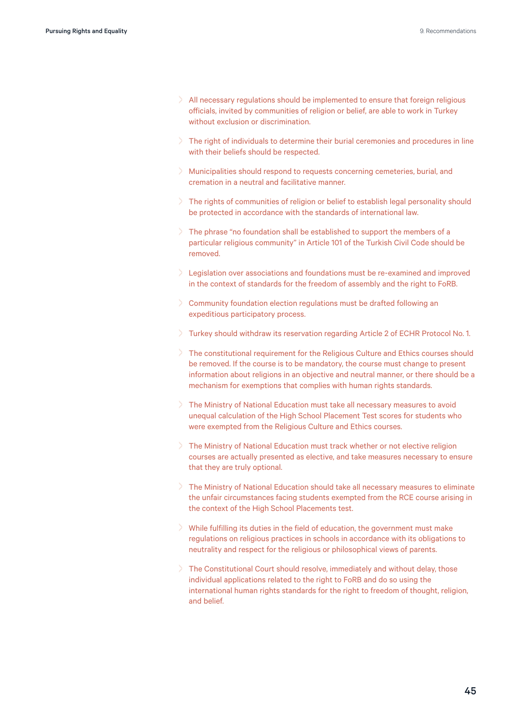- > All necessary regulations should be implemented to ensure that foreign religious officials, invited by communities of religion or belief, are able to work in Turkey without exclusion or discrimination.
- $\geq$  The right of individuals to determine their burial ceremonies and procedures in line with their beliefs should be respected.
- > Municipalities should respond to requests concerning cemeteries, burial, and cremation in a neutral and facilitative manner.
- > The rights of communities of religion or belief to establish legal personality should be protected in accordance with the standards of international law.
- > The phrase "no foundation shall be established to support the members of a particular religious community" in Article 101 of the Turkish Civil Code should be removed.
- > Legislation over associations and foundations must be re-examined and improved in the context of standards for the freedom of assembly and the right to FoRB.
- > Community foundation election regulations must be drafted following an expeditious participatory process.
- > Turkey should withdraw its reservation regarding Article 2 of ECHR Protocol No. 1.
- > The constitutional requirement for the Religious Culture and Ethics courses should be removed. If the course is to be mandatory, the course must change to present information about religions in an objective and neutral manner, or there should be a mechanism for exemptions that complies with human rights standards.
- The Ministry of National Education must take all necessary measures to avoid unequal calculation of the High School Placement Test scores for students who were exempted from the Religious Culture and Ethics courses.
- > The Ministry of National Education must track whether or not elective religion courses are actually presented as elective, and take measures necessary to ensure that they are truly optional.
- > The Ministry of National Education should take all necessary measures to eliminate the unfair circumstances facing students exempted from the RCE course arising in the context of the High School Placements test.
- > While fulfilling its duties in the field of education, the government must make regulations on religious practices in schools in accordance with its obligations to neutrality and respect for the religious or philosophical views of parents.
- > The Constitutional Court should resolve, immediately and without delay, those individual applications related to the right to FoRB and do so using the international human rights standards for the right to freedom of thought, religion, and belief.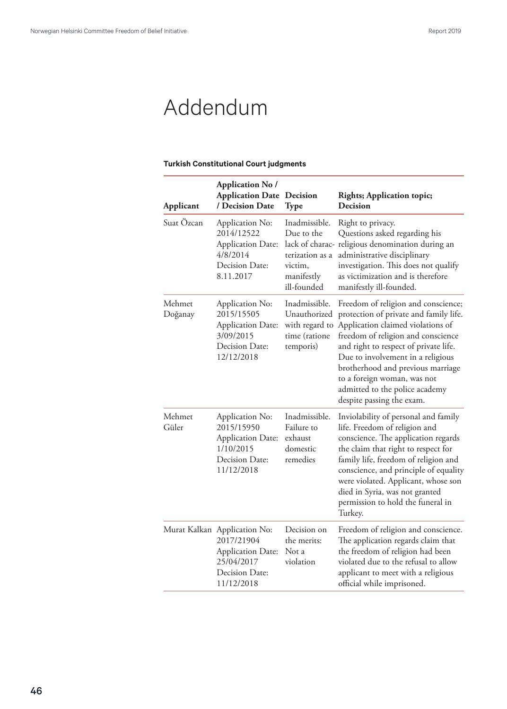# <span id="page-45-0"></span>Addendum

### **Turkish Constitutional Court judgments**

| Applicant         | <b>Application No /</b><br><b>Application Date</b><br>/ Decision Date                                                | Decision<br><b>Type</b>                                                                | <b>Rights; Application topic;</b><br><b>Decision</b>                                                                                                                                                                                                                                                                                                                      |
|-------------------|----------------------------------------------------------------------------------------------------------------------|----------------------------------------------------------------------------------------|---------------------------------------------------------------------------------------------------------------------------------------------------------------------------------------------------------------------------------------------------------------------------------------------------------------------------------------------------------------------------|
| Suat Özcan        | Application No:<br>2014/12522<br><b>Application Date:</b><br>4/8/2014<br>Decision Date:<br>8.11.2017                 | Inadmissible.<br>Due to the<br>terization as a<br>victim,<br>manifestly<br>ill-founded | Right to privacy.<br>Questions asked regarding his<br>lack of charac- religious denomination during an<br>administrative disciplinary<br>investigation. This does not qualify<br>as victimization and is therefore<br>manifestly ill-founded.                                                                                                                             |
| Mehmet<br>Doğanay | Application No:<br>2015/15505<br><b>Application Date:</b><br>3/09/2015<br>Decision Date:<br>12/12/2018               | Inadmissible.<br>Unauthorized<br>with regard to<br>time (ratione<br>temporis)          | Freedom of religion and conscience;<br>protection of private and family life.<br>Application claimed violations of<br>freedom of religion and conscience<br>and right to respect of private life.<br>Due to involvement in a religious<br>brotherhood and previous marriage<br>to a foreign woman, was not<br>admitted to the police academy<br>despite passing the exam. |
| Mehmet<br>Güler   | Application No:<br>2015/15950<br><b>Application Date:</b><br>1/10/2015<br>Decision Date:<br>11/12/2018               | Inadmissible.<br>Failure to<br>exhaust<br>domestic<br>remedies                         | Inviolability of personal and family<br>life. Freedom of religion and<br>conscience. The application regards<br>the claim that right to respect for<br>family life, freedom of religion and<br>conscience, and principle of equality<br>were violated. Applicant, whose son<br>died in Syria, was not granted<br>permission to hold the funeral in<br>Turkey.             |
|                   | Murat Kalkan Application No:<br>2017/21904<br><b>Application Date:</b><br>25/04/2017<br>Decision Date:<br>11/12/2018 | Decision on<br>the merits:<br>Not a<br>violation                                       | Freedom of religion and conscience.<br>The application regards claim that<br>the freedom of religion had been<br>violated due to the refusal to allow<br>applicant to meet with a religious<br>official while imprisoned.                                                                                                                                                 |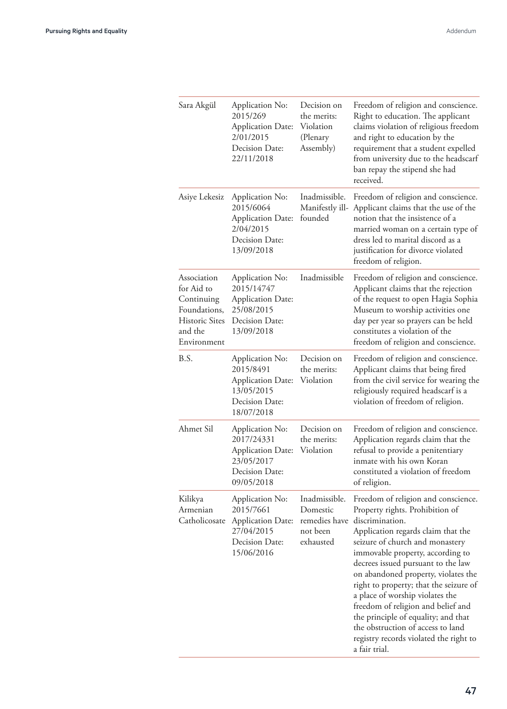| Sara Akgül                                                                                                 | Application No:<br>2015/269<br><b>Application Date:</b><br>2/01/2015<br>Decision Date:<br>22/11/2018    | Decision on<br>the merits:<br>Violation<br>(Plenary<br>Assembly)    | Freedom of religion and conscience.<br>Right to education. The applicant<br>claims violation of religious freedom<br>and right to education by the<br>requirement that a student expelled<br>from university due to the headscarf<br>ban repay the stipend she had<br>received.                                                                                                                                                                                                                                                               |
|------------------------------------------------------------------------------------------------------------|---------------------------------------------------------------------------------------------------------|---------------------------------------------------------------------|-----------------------------------------------------------------------------------------------------------------------------------------------------------------------------------------------------------------------------------------------------------------------------------------------------------------------------------------------------------------------------------------------------------------------------------------------------------------------------------------------------------------------------------------------|
| Asiye Lekesiz                                                                                              | Application No:<br>2015/6064<br>Application Date:<br>2/04/2015<br>Decision Date:<br>13/09/2018          | Inadmissible.<br>Manifestly ill-<br>founded                         | Freedom of religion and conscience.<br>Applicant claims that the use of the<br>notion that the insistence of a<br>married woman on a certain type of<br>dress led to marital discord as a<br>justification for divorce violated<br>freedom of religion.                                                                                                                                                                                                                                                                                       |
| Association<br>for Aid to<br>Continuing<br>Foundations,<br><b>Historic Sites</b><br>and the<br>Environment | Application No:<br>2015/14747<br>Application Date:<br>25/08/2015<br>Decision Date:<br>13/09/2018        | Inadmissible                                                        | Freedom of religion and conscience.<br>Applicant claims that the rejection<br>of the request to open Hagia Sophia<br>Museum to worship activities one<br>day per year so prayers can be held<br>constitutes a violation of the<br>freedom of religion and conscience.                                                                                                                                                                                                                                                                         |
| B.S.                                                                                                       | Application No:<br>2015/8491<br><b>Application Date:</b><br>13/05/2015<br>Decision Date:<br>18/07/2018  | Decision on<br>the merits:<br>Violation                             | Freedom of religion and conscience.<br>Applicant claims that being fired<br>from the civil service for wearing the<br>religiously required headscarf is a<br>violation of freedom of religion.                                                                                                                                                                                                                                                                                                                                                |
| Ahmet Sil                                                                                                  | Application No:<br>2017/24331<br><b>Application Date:</b><br>23/05/2017<br>Decision Date:<br>09/05/2018 | Decision on<br>the merits:<br>Violation                             | Freedom of religion and conscience.<br>Application regards claim that the<br>refusal to provide a penitentiary<br>inmate with his own Koran<br>constituted a violation of freedom<br>of religion.                                                                                                                                                                                                                                                                                                                                             |
| Kilikya<br>Armenian<br>Catholicosate                                                                       | Application No:<br>2015/7661<br>Application Date:<br>27/04/2015<br>Decision Date:<br>15/06/2016         | Inadmissible.<br>Domestic<br>remedies have<br>not been<br>exhausted | Freedom of religion and conscience.<br>Property rights. Prohibition of<br>discrimination.<br>Application regards claim that the<br>seizure of church and monastery<br>immovable property, according to<br>decrees issued pursuant to the law<br>on abandoned property, violates the<br>right to property; that the seizure of<br>a place of worship violates the<br>freedom of religion and belief and<br>the principle of equality; and that<br>the obstruction of access to land<br>registry records violated the right to<br>a fair trial. |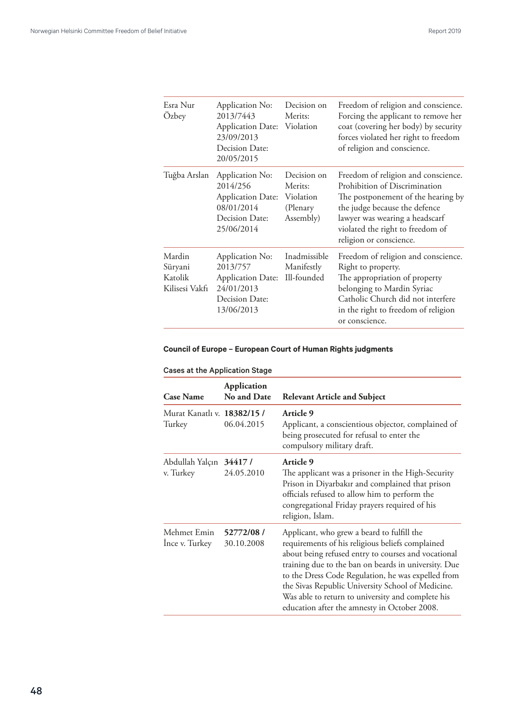<span id="page-47-0"></span>

| Esra Nur<br>Özbey                              | Application No:<br>2013/7443<br>Application Date: Violation<br>23/09/2013<br>Decision Date:<br>20/05/2015 | Decision on<br>Merits:                                       | Freedom of religion and conscience.<br>Forcing the applicant to remove her<br>coat (covering her body) by security<br>forces violated her right to freedom<br>of religion and conscience.                                                    |
|------------------------------------------------|-----------------------------------------------------------------------------------------------------------|--------------------------------------------------------------|----------------------------------------------------------------------------------------------------------------------------------------------------------------------------------------------------------------------------------------------|
| Tuğba Arslan                                   | Application No:<br>2014/256<br><b>Application Date:</b><br>08/01/2014<br>Decision Date:<br>25/06/2014     | Decision on<br>Merits:<br>Violation<br>(Plenary<br>Assembly) | Freedom of religion and conscience.<br>Prohibition of Discrimination<br>The postponement of the hearing by<br>the judge because the defence<br>lawyer was wearing a headscarf<br>violated the right to freedom of<br>religion or conscience. |
| Mardin<br>Süryani<br>Katolik<br>Kilisesi Vakfı | Application No:<br>2013/757<br><b>Application Date:</b><br>24/01/2013<br>Decision Date:<br>13/06/2013     | Inadmissible<br>Manifestly<br>Ill-founded                    | Freedom of religion and conscience.<br>Right to property.<br>The appropriation of property<br>belonging to Mardin Syriac<br>Catholic Church did not interfere<br>in the right to freedom of religion<br>or conscience.                       |

### **Council of Europe – European Court of Human Rights judgments**

| <b>Case Name</b>                      | <b>Application</b><br>No and Date | <b>Relevant Article and Subject</b>                                                                                                                                                                                                                                                                                                                                                                                           |
|---------------------------------------|-----------------------------------|-------------------------------------------------------------------------------------------------------------------------------------------------------------------------------------------------------------------------------------------------------------------------------------------------------------------------------------------------------------------------------------------------------------------------------|
| Murat Kanatlı v. 18382/15 /<br>Turkey | 06.04.2015                        | <b>Article 9</b><br>Applicant, a conscientious objector, complained of<br>being prosecuted for refusal to enter the<br>compulsory military draft.                                                                                                                                                                                                                                                                             |
| Abdullah Yalçın 34417 /<br>v. Turkey  | 24.05.2010                        | <b>Article 9</b><br>The applicant was a prisoner in the High-Security<br>Prison in Diyarbakır and complained that prison<br>officials refused to allow him to perform the<br>congregational Friday prayers required of his<br>religion, Islam.                                                                                                                                                                                |
| Mehmet Emin<br>Ince v. Turkey         | 52772/08 /<br>30.10.2008          | Applicant, who grew a beard to fulfill the<br>requirements of his religious beliefs complained<br>about being refused entry to courses and vocational<br>training due to the ban on beards in university. Due<br>to the Dress Code Regulation, he was expelled from<br>the Sivas Republic University School of Medicine.<br>Was able to return to university and complete his<br>education after the amnesty in October 2008. |

### Cases at the Application Stage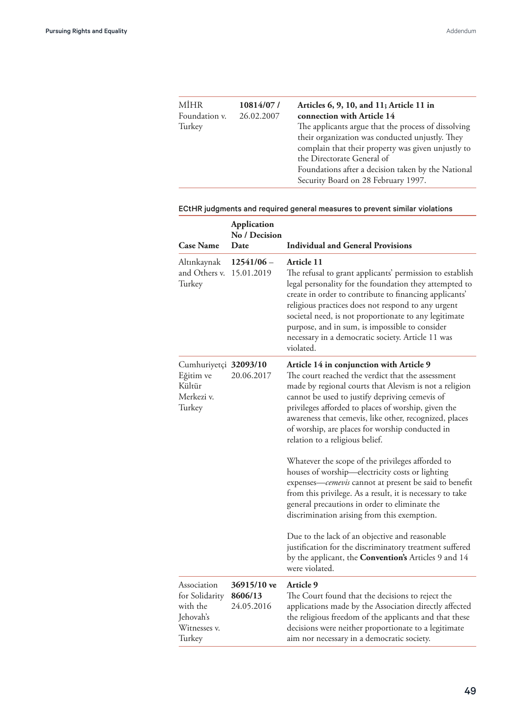| <b>MİHR</b><br>Foundation v. | 10814/07/<br>26.02.2007 | Articles 6, 9, 10, and 11; Article 11 in<br>connection with Article 14                                                                                                                     |
|------------------------------|-------------------------|--------------------------------------------------------------------------------------------------------------------------------------------------------------------------------------------|
| Turkey                       |                         | The applicants argue that the process of dissolving<br>their organization was conducted unjustly. They<br>complain that their property was given unjustly to<br>the Directorate General of |
|                              |                         | Foundations after a decision taken by the National<br>Security Board on 28 February 1997.                                                                                                  |

### ECtHR judgments and required general measures to prevent similar violations

| <b>Case Name</b>                                                                 | Application<br>No / Decision<br>Date | <b>Individual and General Provisions</b>                                                                                                                                                                                                                                                                                                                                                                                      |
|----------------------------------------------------------------------------------|--------------------------------------|-------------------------------------------------------------------------------------------------------------------------------------------------------------------------------------------------------------------------------------------------------------------------------------------------------------------------------------------------------------------------------------------------------------------------------|
| Altınkaynak<br>and Others v.<br>Turkey                                           | $12541/06 -$<br>15.01.2019           | Article 11<br>The refusal to grant applicants' permission to establish<br>legal personality for the foundation they attempted to<br>create in order to contribute to financing applicants'<br>religious practices does not respond to any urgent<br>societal need, is not proportionate to any legitimate<br>purpose, and in sum, is impossible to consider<br>necessary in a democratic society. Article 11 was<br>violated. |
| Cumhuriyetçi 32093/10<br>Eğitim ve<br>Kültür<br>Merkezi v.<br>Turkey             | 20.06.2017                           | Article 14 in conjunction with Article 9<br>The court reached the verdict that the assessment<br>made by regional courts that Alevism is not a religion<br>cannot be used to justify depriving cemevis of<br>privileges afforded to places of worship, given the<br>awareness that cemevis, like other, recognized, places<br>of worship, are places for worship conducted in<br>relation to a religious belief.              |
|                                                                                  |                                      | Whatever the scope of the privileges afforded to<br>houses of worship-electricity costs or lighting<br>expenses-cemevis cannot at present be said to benefit<br>from this privilege. As a result, it is necessary to take<br>general precautions in order to eliminate the<br>discrimination arising from this exemption.                                                                                                     |
|                                                                                  |                                      | Due to the lack of an objective and reasonable<br>justification for the discriminatory treatment suffered<br>by the applicant, the <b>Convention's</b> Articles 9 and 14<br>were violated.                                                                                                                                                                                                                                    |
| Association<br>for Solidarity<br>with the<br>Jehovah's<br>Witnesses v.<br>Turkey | 36915/10 ve<br>8606/13<br>24.05.2016 | <b>Article 9</b><br>The Court found that the decisions to reject the<br>applications made by the Association directly affected<br>the religious freedom of the applicants and that these<br>decisions were neither proportionate to a legitimate<br>aim nor necessary in a democratic society.                                                                                                                                |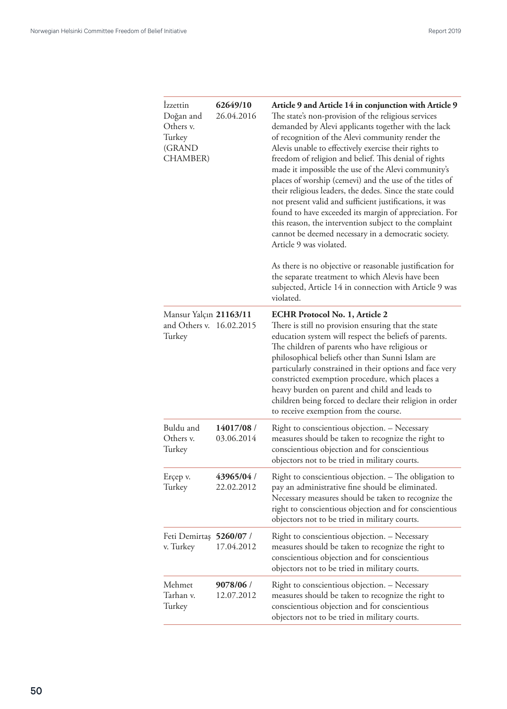| <i>Izzettin</i><br>Doğan and<br>Others v.<br>Turkey<br>(GRAND<br><b>CHAMBER</b> ) | 62649/10<br>26.04.2016   | Article 9 and Article 14 in conjunction with Article 9<br>The state's non-provision of the religious services<br>demanded by Alevi applicants together with the lack<br>of recognition of the Alevi community render the<br>Alevis unable to effectively exercise their rights to<br>freedom of religion and belief. This denial of rights<br>made it impossible the use of the Alevi community's<br>places of worship (cemevi) and the use of the titles of<br>their religious leaders, the dedes. Since the state could<br>not present valid and sufficient justifications, it was<br>found to have exceeded its margin of appreciation. For<br>this reason, the intervention subject to the complaint<br>cannot be deemed necessary in a democratic society.<br>Article 9 was violated.<br>As there is no objective or reasonable justification for<br>the separate treatment to which Alevis have been<br>subjected, Article 14 in connection with Article 9 was<br>violated. |
|-----------------------------------------------------------------------------------|--------------------------|-----------------------------------------------------------------------------------------------------------------------------------------------------------------------------------------------------------------------------------------------------------------------------------------------------------------------------------------------------------------------------------------------------------------------------------------------------------------------------------------------------------------------------------------------------------------------------------------------------------------------------------------------------------------------------------------------------------------------------------------------------------------------------------------------------------------------------------------------------------------------------------------------------------------------------------------------------------------------------------|
| Mansur Yalçın 21163/11<br>and Others v. 16.02.2015<br>Turkey                      |                          | <b>ECHR Protocol No. 1, Article 2</b><br>There is still no provision ensuring that the state<br>education system will respect the beliefs of parents.<br>The children of parents who have religious or<br>philosophical beliefs other than Sunni Islam are<br>particularly constrained in their options and face very<br>constricted exemption procedure, which places a<br>heavy burden on parent and child and leads to<br>children being forced to declare their religion in order<br>to receive exemption from the course.                                                                                                                                                                                                                                                                                                                                                                                                                                                    |
| Buldu and<br>Others v.<br>Turkey                                                  | 14017/08 /<br>03.06.2014 | Right to conscientious objection. - Necessary<br>measures should be taken to recognize the right to<br>conscientious objection and for conscientious<br>objectors not to be tried in military courts.                                                                                                                                                                                                                                                                                                                                                                                                                                                                                                                                                                                                                                                                                                                                                                             |
| Erçep v.<br>Turkey                                                                | 43965/04 /<br>22.02.2012 | Right to conscientious objection. - The obligation to<br>pay an administrative fine should be eliminated.<br>Necessary measures should be taken to recognize the<br>right to conscientious objection and for conscientious<br>objectors not to be tried in military courts.                                                                                                                                                                                                                                                                                                                                                                                                                                                                                                                                                                                                                                                                                                       |
| Feti Demirtaş 5260/07 /<br>v. Turkey                                              | 17.04.2012               | Right to conscientious objection. - Necessary<br>measures should be taken to recognize the right to<br>conscientious objection and for conscientious<br>objectors not to be tried in military courts.                                                                                                                                                                                                                                                                                                                                                                                                                                                                                                                                                                                                                                                                                                                                                                             |
| Mehmet<br>Tarhan v.<br>Turkey                                                     | 9078/06 /<br>12.07.2012  | Right to conscientious objection. - Necessary<br>measures should be taken to recognize the right to<br>conscientious objection and for conscientious<br>objectors not to be tried in military courts.                                                                                                                                                                                                                                                                                                                                                                                                                                                                                                                                                                                                                                                                                                                                                                             |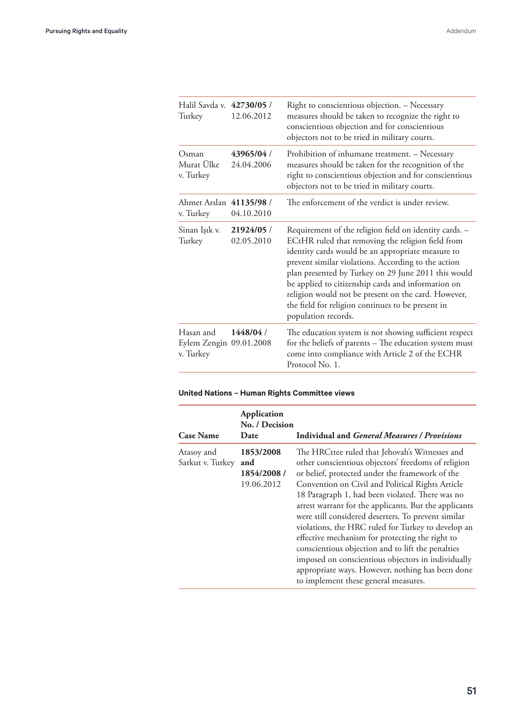<span id="page-50-0"></span>

| Halil Savda v. 42730/05 /<br>Turkey               | 12.06.2012              | Right to conscientious objection. - Necessary<br>measures should be taken to recognize the right to<br>conscientious objection and for conscientious<br>objectors not to be tried in military courts.                                                                                                                                                                                                                                                                   |
|---------------------------------------------------|-------------------------|-------------------------------------------------------------------------------------------------------------------------------------------------------------------------------------------------------------------------------------------------------------------------------------------------------------------------------------------------------------------------------------------------------------------------------------------------------------------------|
| Osman<br>Murat Ülke<br>v. Turkey                  | 43965/04/<br>24.04.2006 | Prohibition of inhumane treatment. - Necessary<br>measures should be taken for the recognition of the<br>right to conscientious objection and for conscientious<br>objectors not to be tried in military courts.                                                                                                                                                                                                                                                        |
| Ahmet Arslan 41135/98 /<br>v. Turkey              | 04.10.2010              | The enforcement of the verdict is under review.                                                                                                                                                                                                                                                                                                                                                                                                                         |
| Sinan Işık v.<br>Turkey                           | 21924/05/<br>02.05.2010 | Requirement of the religion field on identity cards. -<br>ECtHR ruled that removing the religion field from<br>identity cards would be an appropriate measure to<br>prevent similar violations. According to the action<br>plan presented by Turkey on 29 June 2011 this would<br>be applied to citizenship cards and information on<br>religion would not be present on the card. However,<br>the field for religion continues to be present in<br>population records. |
| Hasan and<br>Eylem Zengin 09.01.2008<br>v. Turkey | 1448/04/                | The education system is not showing sufficient respect<br>for the beliefs of parents - The education system must<br>come into compliance with Article 2 of the ECHR<br>Protocol No. 1.                                                                                                                                                                                                                                                                                  |

### **United Nations – Human Rights Committee views**

| <b>Case Name</b>               | Application<br>No. / Decision<br>Date         | <b>Individual and General Measures / Provisions</b>                                                                                                                                                                                                                                                                                                                                                                                                                                                                                                                                                                                                                                             |
|--------------------------------|-----------------------------------------------|-------------------------------------------------------------------------------------------------------------------------------------------------------------------------------------------------------------------------------------------------------------------------------------------------------------------------------------------------------------------------------------------------------------------------------------------------------------------------------------------------------------------------------------------------------------------------------------------------------------------------------------------------------------------------------------------------|
| Atasoy and<br>Sarkut v. Turkey | 1853/2008<br>and<br>1854/2008 /<br>19.06.2012 | The HRCttee ruled that Jehovah's Witnesses and<br>other conscientious objectors' freedoms of religion<br>or belief, protected under the framework of the<br>Convention on Civil and Political Rights Article<br>18 Paragraph 1, had been violated. There was no<br>arrest warrant for the applicants. But the applicants<br>were still considered deserters. To prevent similar<br>violations, the HRC ruled for Turkey to develop an<br>effective mechanism for protecting the right to<br>conscientious objection and to lift the penalties<br>imposed on conscientious objectors in individually<br>appropriate ways. However, nothing has been done<br>to implement these general measures. |